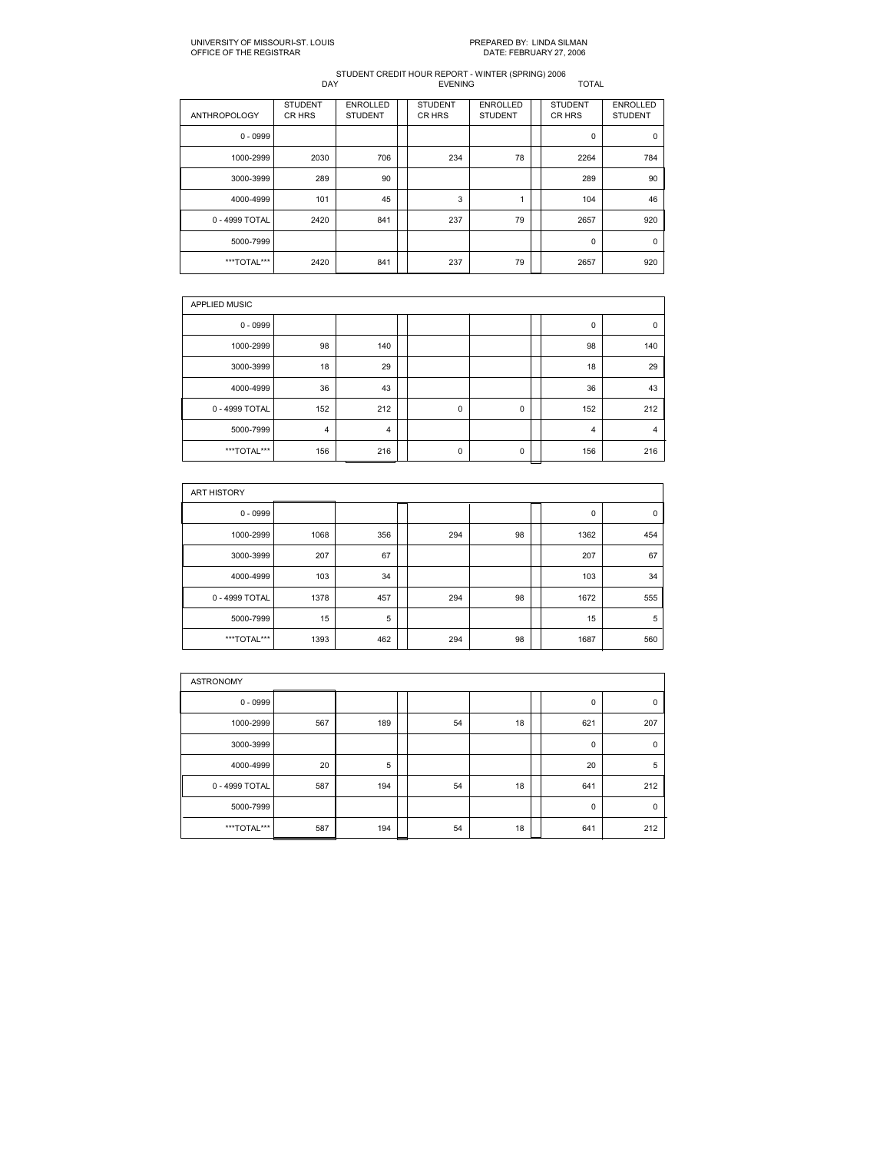| <b>ANTHROPOLOGY</b> | <b>STUDENT</b><br>CR HRS | <b>ENROLLED</b><br><b>STUDENT</b> | <b>STUDENT</b><br>CR HRS | <b>ENROLLED</b><br><b>STUDENT</b> | <b>STUDENT</b><br>CR HRS | <b>ENROLLED</b><br><b>STUDENT</b> |
|---------------------|--------------------------|-----------------------------------|--------------------------|-----------------------------------|--------------------------|-----------------------------------|
| $0 - 0999$          |                          |                                   |                          |                                   | $\mathbf 0$              | 0                                 |
| 1000-2999           | 2030                     | 706                               | 234                      | 78                                | 2264                     | 784                               |
| 3000-3999           | 289                      | 90                                |                          |                                   | 289                      | 90                                |
| 4000-4999           | 101                      | 45                                | 3                        |                                   | 104                      | 46                                |
| 0 - 4999 TOTAL      | 2420                     | 841                               | 237                      | 79                                | 2657                     | 920                               |
| 5000-7999           |                          |                                   |                          |                                   | $\mathbf 0$              | 0                                 |
| ***TOTAL***         | 2420                     | 841                               | 237                      | 79                                | 2657                     | 920                               |

| <b>APPLIED MUSIC</b> |     |     |  |             |   |  |     |             |  |  |  |
|----------------------|-----|-----|--|-------------|---|--|-----|-------------|--|--|--|
| $0 - 0999$           |     |     |  |             |   |  | 0   | $\mathbf 0$ |  |  |  |
| 1000-2999            | 98  | 140 |  |             |   |  | 98  | 140         |  |  |  |
| 3000-3999            | 18  | 29  |  |             |   |  | 18  | 29          |  |  |  |
| 4000-4999            | 36  | 43  |  |             |   |  | 36  | 43          |  |  |  |
| 0 - 4999 TOTAL       | 152 | 212 |  | $\mathbf 0$ | 0 |  | 152 | 212         |  |  |  |
| 5000-7999            | 4   | 4   |  |             |   |  | 4   | 4           |  |  |  |
| ***TOTAL***          | 156 | 216 |  | 0           | 0 |  | 156 | 216         |  |  |  |

| ART HISTORY    |      |     |  |     |    |  |      |     |  |  |  |
|----------------|------|-----|--|-----|----|--|------|-----|--|--|--|
| $0 - 0999$     |      |     |  |     |    |  | 0    | 0   |  |  |  |
| 1000-2999      | 1068 | 356 |  | 294 | 98 |  | 1362 | 454 |  |  |  |
| 3000-3999      | 207  | 67  |  |     |    |  | 207  | 67  |  |  |  |
| 4000-4999      | 103  | 34  |  |     |    |  | 103  | 34  |  |  |  |
| 0 - 4999 TOTAL | 1378 | 457 |  | 294 | 98 |  | 1672 | 555 |  |  |  |
| 5000-7999      | 15   | 5   |  |     |    |  | 15   | 5   |  |  |  |
| ***TOTAL***    | 1393 | 462 |  | 294 | 98 |  | 1687 | 560 |  |  |  |

| <b>ASTRONOMY</b> |     |     |  |    |    |  |             |          |  |  |  |
|------------------|-----|-----|--|----|----|--|-------------|----------|--|--|--|
| $0 - 0999$       |     |     |  |    |    |  | 0           | 0        |  |  |  |
| 1000-2999        | 567 | 189 |  | 54 | 18 |  | 621         | 207      |  |  |  |
| 3000-3999        |     |     |  |    |    |  | $\mathbf 0$ | 0        |  |  |  |
| 4000-4999        | 20  | 5   |  |    |    |  | 20          | 5        |  |  |  |
| 0 - 4999 TOTAL   | 587 | 194 |  | 54 | 18 |  | 641         | 212      |  |  |  |
| 5000-7999        |     |     |  |    |    |  | $\mathbf 0$ | $\Omega$ |  |  |  |
| ***TOTAL***      | 587 | 194 |  | 54 | 18 |  | 641         | 212      |  |  |  |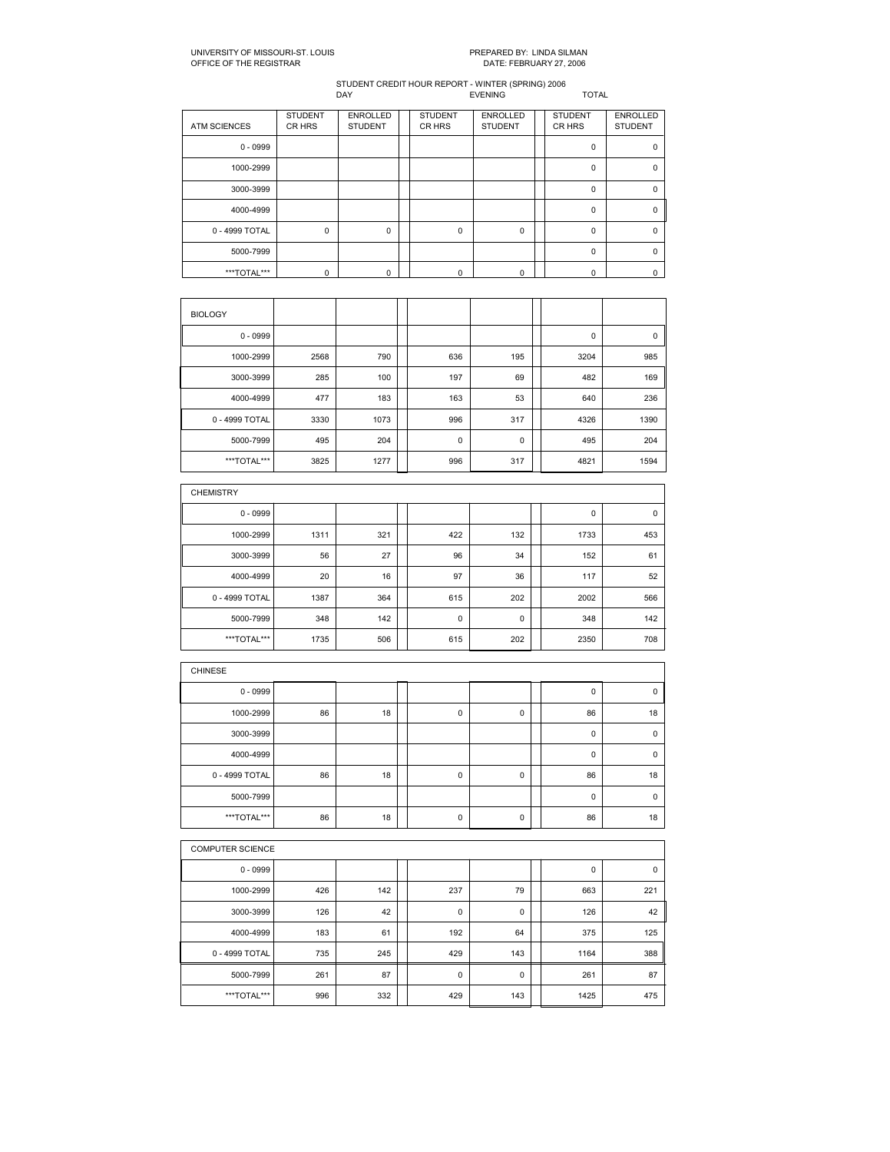| <b>ATM SCIENCES</b> | <b>STUDENT</b><br>CR HRS | <b>ENROLLED</b><br><b>STUDENT</b> | <b>STUDENT</b><br>CR HRS | <b>ENROLLED</b><br><b>STUDENT</b> | <b>STUDENT</b><br>CR HRS | <b>ENROLLED</b><br><b>STUDENT</b> |
|---------------------|--------------------------|-----------------------------------|--------------------------|-----------------------------------|--------------------------|-----------------------------------|
| $0 - 0999$          |                          |                                   |                          |                                   | $\Omega$                 | $\Omega$                          |
| 1000-2999           |                          |                                   |                          |                                   | $\Omega$                 | $\Omega$                          |
| 3000-3999           |                          |                                   |                          |                                   | $\mathbf 0$              | $\Omega$                          |
| 4000-4999           |                          |                                   |                          |                                   | $\Omega$                 | $\Omega$                          |
| 0 - 4999 TOTAL      | $\mathbf 0$              | $\Omega$                          | $\mathbf 0$              | 0                                 | 0                        | $\Omega$                          |
| 5000-7999           |                          |                                   |                          |                                   | $\Omega$                 | $\Omega$                          |
| ***TOTAL***         | $\Omega$                 | 0                                 | $\Omega$                 | $\Omega$                          | U                        | n                                 |

| <b>BIOLOGY</b> |      |      |             |     |      |      |
|----------------|------|------|-------------|-----|------|------|
| $0 - 0999$     |      |      |             |     | 0    | 0    |
| 1000-2999      | 2568 | 790  | 636         | 195 | 3204 | 985  |
| 3000-3999      | 285  | 100  | 197         | 69  | 482  | 169  |
| 4000-4999      | 477  | 183  | 163         | 53  | 640  | 236  |
| 0 - 4999 TOTAL | 3330 | 1073 | 996         | 317 | 4326 | 1390 |
| 5000-7999      | 495  | 204  | $\mathbf 0$ | 0   | 495  | 204  |
| ***TOTAL***    | 3825 | 1277 | 996         | 317 | 4821 | 1594 |

| <b>CHEMISTRY</b> |      |     |             |     |      |     |
|------------------|------|-----|-------------|-----|------|-----|
| $0 - 0999$       |      |     |             |     | 0    | 0   |
| 1000-2999        | 1311 | 321 | 422         | 132 | 1733 | 453 |
| 3000-3999        | 56   | 27  | 96          | 34  | 152  | 61  |
| 4000-4999        | 20   | 16  | 97          | 36  | 117  | 52  |
| 0 - 4999 TOTAL   | 1387 | 364 | 615         | 202 | 2002 | 566 |
| 5000-7999        | 348  | 142 | $\mathbf 0$ | 0   | 348  | 142 |
| ***TOTAL***      | 1735 | 506 | 615         | 202 | 2350 | 708 |

| <b>CHINESE</b> |    |    |             |   |    |             |
|----------------|----|----|-------------|---|----|-------------|
| $0 - 0999$     |    |    |             |   | 0  | $\mathbf 0$ |
| 1000-2999      | 86 | 18 | 0           | 0 | 86 | 18          |
| 3000-3999      |    |    |             |   | 0  | $\mathbf 0$ |
| 4000-4999      |    |    |             |   | 0  | $\mathbf 0$ |
| 0 - 4999 TOTAL | 86 | 18 | $\mathbf 0$ | 0 | 86 | 18          |
| 5000-7999      |    |    |             |   | 0  | $\mathbf 0$ |
| ***TOTAL***    | 86 | 18 | 0           | 0 | 86 | 18          |

|                | <b>COMPUTER SCIENCE</b> |     |  |             |     |  |      |     |  |  |  |
|----------------|-------------------------|-----|--|-------------|-----|--|------|-----|--|--|--|
| $0 - 0999$     |                         |     |  |             |     |  | 0    | 0   |  |  |  |
| 1000-2999      | 426                     | 142 |  | 237         | 79  |  | 663  | 221 |  |  |  |
| 3000-3999      | 126                     | 42  |  | $\mathbf 0$ | 0   |  | 126  | 42  |  |  |  |
| 4000-4999      | 183                     | 61  |  | 192         | 64  |  | 375  | 125 |  |  |  |
| 0 - 4999 TOTAL | 735                     | 245 |  | 429         | 143 |  | 1164 | 388 |  |  |  |
| 5000-7999      | 261                     | 87  |  | $\mathbf 0$ | 0   |  | 261  | 87  |  |  |  |
| ***TOTAL***    | 996                     | 332 |  | 429         | 143 |  | 1425 | 475 |  |  |  |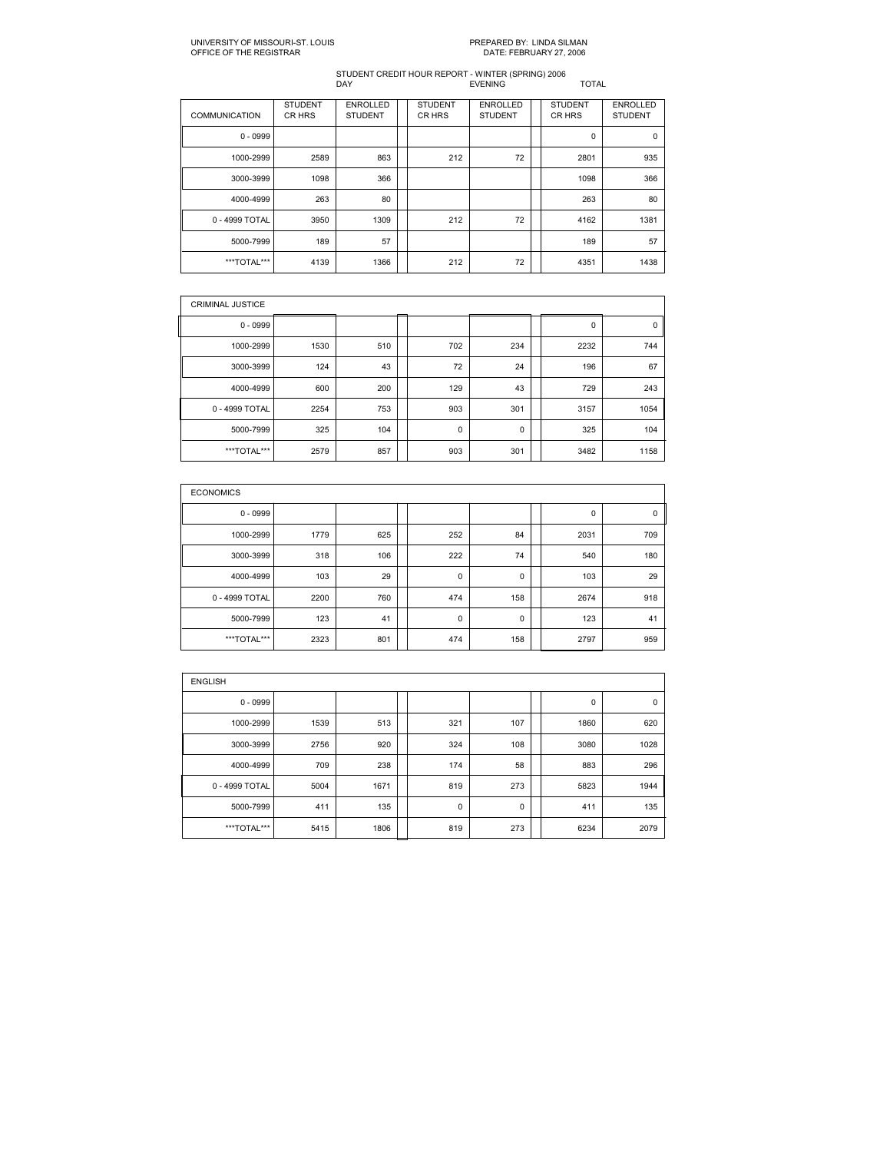| <b>COMMUNICATION</b> | <b>STUDENT</b><br>CR HRS | <b>ENROLLED</b><br><b>STUDENT</b> | <b>STUDENT</b><br>CR HRS | <b>ENROLLED</b><br><b>STUDENT</b> | <b>STUDENT</b><br>CR HRS | <b>ENROLLED</b><br><b>STUDENT</b> |
|----------------------|--------------------------|-----------------------------------|--------------------------|-----------------------------------|--------------------------|-----------------------------------|
| $0 - 0999$           |                          |                                   |                          |                                   | $\mathbf 0$              | $\mathbf 0$                       |
| 1000-2999            | 2589                     | 863                               | 212                      | 72                                | 2801                     | 935                               |
| 3000-3999            | 1098                     | 366                               |                          |                                   | 1098                     | 366                               |
| 4000-4999            | 263                      | 80                                |                          |                                   | 263                      | 80                                |
| 0 - 4999 TOTAL       | 3950                     | 1309                              | 212                      | 72                                | 4162                     | 1381                              |
| 5000-7999            | 189                      | 57                                |                          |                                   | 189                      | 57                                |
| ***TOTAL***          | 4139                     | 1366                              | 212                      | 72                                | 4351                     | 1438                              |

| <b>CRIMINAL JUSTICE</b> |      |     |             |     |      |      |
|-------------------------|------|-----|-------------|-----|------|------|
| $0 - 0999$              |      |     |             |     | 0    | 0    |
| 1000-2999               | 1530 | 510 | 702         | 234 | 2232 | 744  |
| 3000-3999               | 124  | 43  | 72          | 24  | 196  | 67   |
| 4000-4999               | 600  | 200 | 129         | 43  | 729  | 243  |
| 0 - 4999 TOTAL          | 2254 | 753 | 903         | 301 | 3157 | 1054 |
| 5000-7999               | 325  | 104 | $\mathbf 0$ | 0   | 325  | 104  |
| ***TOTAL***             | 2579 | 857 | 903         | 301 | 3482 | 1158 |

| <b>ECONOMICS</b> |      |     |  |             |     |  |      |     |  |  |  |
|------------------|------|-----|--|-------------|-----|--|------|-----|--|--|--|
| $0 - 0999$       |      |     |  |             |     |  | 0    | 0   |  |  |  |
| 1000-2999        | 1779 | 625 |  | 252         | 84  |  | 2031 | 709 |  |  |  |
| 3000-3999        | 318  | 106 |  | 222         | 74  |  | 540  | 180 |  |  |  |
| 4000-4999        | 103  | 29  |  | $\mathbf 0$ | 0   |  | 103  | 29  |  |  |  |
| 0 - 4999 TOTAL   | 2200 | 760 |  | 474         | 158 |  | 2674 | 918 |  |  |  |
| 5000-7999        | 123  | 41  |  | $\mathbf 0$ | 0   |  | 123  | 41  |  |  |  |
| ***TOTAL***      | 2323 | 801 |  | 474         | 158 |  | 2797 | 959 |  |  |  |

| <b>ENGLISH</b> |      |      |  |             |     |  |      |             |  |  |  |  |
|----------------|------|------|--|-------------|-----|--|------|-------------|--|--|--|--|
| $0 - 0999$     |      |      |  |             |     |  | 0    | $\mathbf 0$ |  |  |  |  |
| 1000-2999      | 1539 | 513  |  | 321         | 107 |  | 1860 | 620         |  |  |  |  |
| 3000-3999      | 2756 | 920  |  | 324         | 108 |  | 3080 | 1028        |  |  |  |  |
| 4000-4999      | 709  | 238  |  | 174         | 58  |  | 883  | 296         |  |  |  |  |
| 0 - 4999 TOTAL | 5004 | 1671 |  | 819         | 273 |  | 5823 | 1944        |  |  |  |  |
| 5000-7999      | 411  | 135  |  | $\mathbf 0$ | 0   |  | 411  | 135         |  |  |  |  |
| ***TOTAL***    | 5415 | 1806 |  | 819         | 273 |  | 6234 | 2079        |  |  |  |  |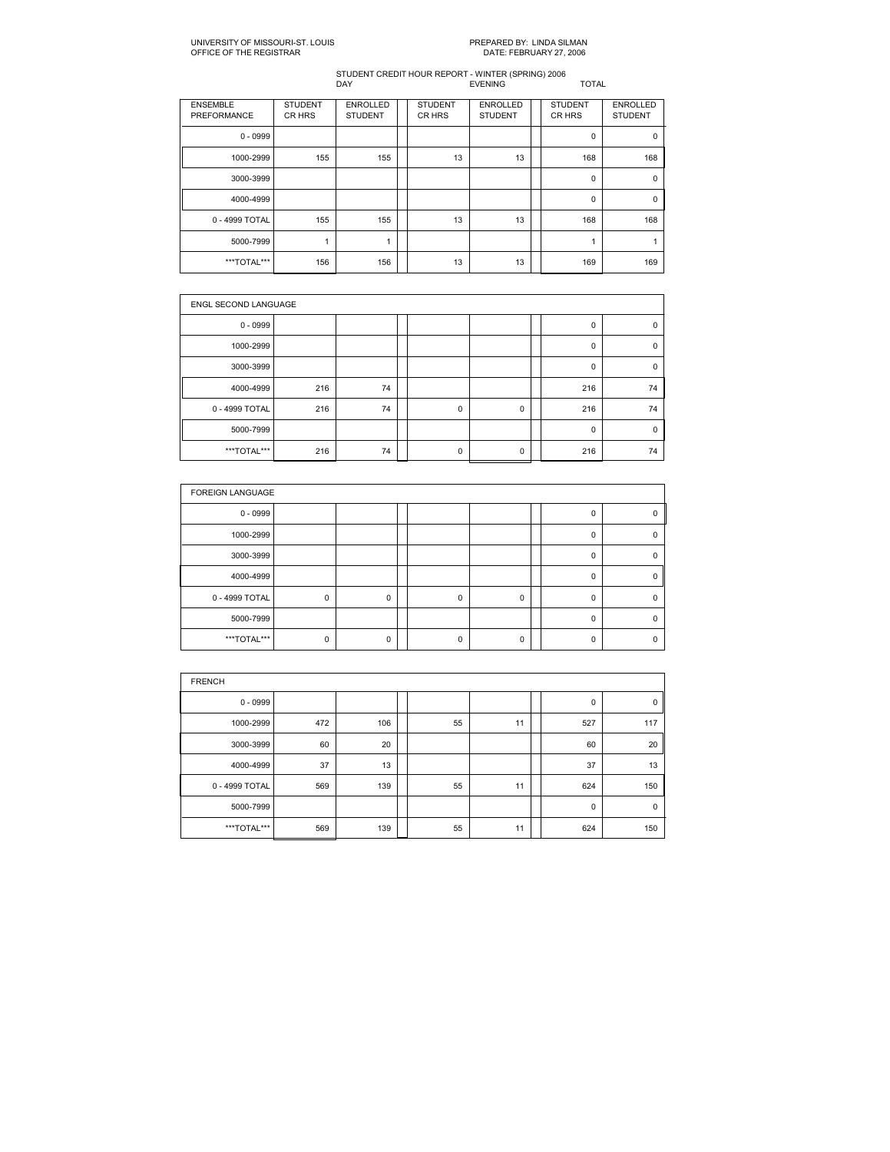| <b>ENSEMBLE</b><br>PREFORMANCE | <b>STUDENT</b><br>CR HRS | <b>ENROLLED</b><br><b>STUDENT</b> | <b>STUDENT</b><br>CR HRS | <b>ENROLLED</b><br><b>STUDENT</b> | <b>STUDENT</b><br><b>CRHRS</b> | <b>ENROLLED</b><br><b>STUDENT</b> |
|--------------------------------|--------------------------|-----------------------------------|--------------------------|-----------------------------------|--------------------------------|-----------------------------------|
| $0 - 0999$                     |                          |                                   |                          |                                   | 0                              | 0                                 |
| 1000-2999                      | 155                      | 155                               | 13                       | 13                                | 168                            | 168                               |
| 3000-3999                      |                          |                                   |                          |                                   | 0                              | 0                                 |
| 4000-4999                      |                          |                                   |                          |                                   | 0                              | 0                                 |
| 0 - 4999 TOTAL                 | 155                      | 155                               | 13                       | 13                                | 168                            | 168                               |
| 5000-7999                      | 1                        |                                   |                          |                                   |                                |                                   |
| ***TOTAL***                    | 156                      | 156                               | 13                       | 13                                | 169                            | 169                               |

| <b>ENGL SECOND LANGUAGE</b> |     |    |  |             |   |  |             |             |  |  |
|-----------------------------|-----|----|--|-------------|---|--|-------------|-------------|--|--|
| $0 - 0999$                  |     |    |  |             |   |  | $\mathbf 0$ | 0           |  |  |
| 1000-2999                   |     |    |  |             |   |  | $\mathbf 0$ | 0           |  |  |
| 3000-3999                   |     |    |  |             |   |  | 0           | 0           |  |  |
| 4000-4999                   | 216 | 74 |  |             |   |  | 216         | 74          |  |  |
| 0 - 4999 TOTAL              | 216 | 74 |  | $\mathbf 0$ | 0 |  | 216         | 74          |  |  |
| 5000-7999                   |     |    |  |             |   |  | $\mathbf 0$ | $\mathbf 0$ |  |  |
| ***TOTAL***                 | 216 | 74 |  | $\mathbf 0$ | 0 |  | 216         | 74          |  |  |

| <b>FOREIGN LANGUAGE</b> |             |   |          |          |          |   |
|-------------------------|-------------|---|----------|----------|----------|---|
| $0 - 0999$              |             |   |          |          | $\Omega$ | ŋ |
| 1000-2999               |             |   |          |          | $\Omega$ |   |
| 3000-3999               |             |   |          |          | 0        |   |
| 4000-4999               |             |   |          |          | $\Omega$ | 0 |
| 0 - 4999 TOTAL          | $\mathbf 0$ | 0 | $\Omega$ | $\Omega$ | $\Omega$ |   |
| 5000-7999               |             |   |          |          | $\Omega$ |   |
| ***TOTAL***             | 0           | 0 |          | 0        | 0        |   |

| <b>FRENCH</b>  |     |     |  |    |    |  |             |             |  |  |  |
|----------------|-----|-----|--|----|----|--|-------------|-------------|--|--|--|
| $0 - 0999$     |     |     |  |    |    |  | 0           | 0           |  |  |  |
| 1000-2999      | 472 | 106 |  | 55 | 11 |  | 527         | 117         |  |  |  |
| 3000-3999      | 60  | 20  |  |    |    |  | 60          | 20          |  |  |  |
| 4000-4999      | 37  | 13  |  |    |    |  | 37          | 13          |  |  |  |
| 0 - 4999 TOTAL | 569 | 139 |  | 55 | 11 |  | 624         | 150         |  |  |  |
| 5000-7999      |     |     |  |    |    |  | $\mathbf 0$ | $\mathbf 0$ |  |  |  |
| ***TOTAL***    | 569 | 139 |  | 55 | 11 |  | 624         | 150         |  |  |  |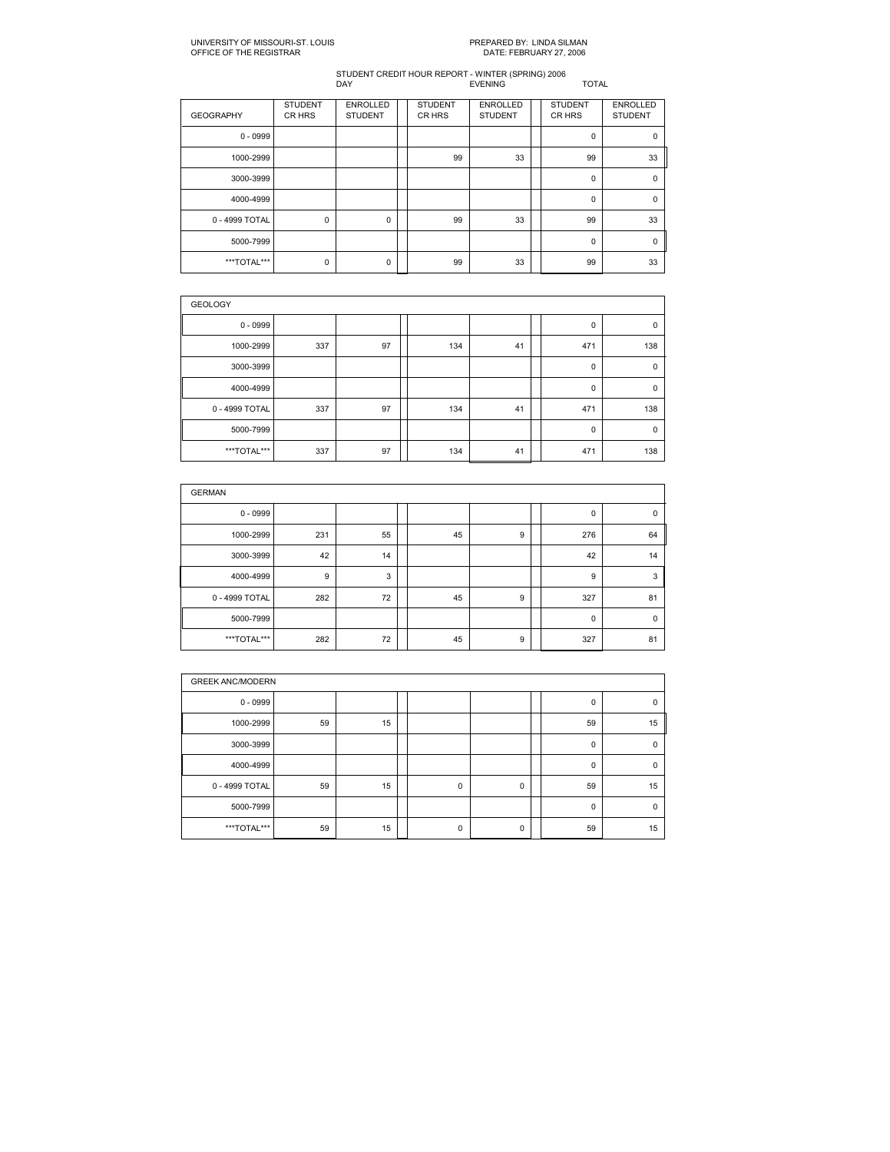| <b>GEOGRAPHY</b> | <b>STUDENT</b><br>CR HRS | <b>ENROLLED</b><br><b>STUDENT</b> | <b>STUDENT</b><br>CR HRS | <b>ENROLLED</b><br><b>STUDENT</b> | <b>STUDENT</b><br>CR HRS | <b>ENROLLED</b><br><b>STUDENT</b> |
|------------------|--------------------------|-----------------------------------|--------------------------|-----------------------------------|--------------------------|-----------------------------------|
| $0 - 0999$       |                          |                                   |                          |                                   | 0                        | $\mathbf 0$                       |
| 1000-2999        |                          |                                   | 99                       | 33                                | 99                       | 33                                |
| 3000-3999        |                          |                                   |                          |                                   | 0                        | 0                                 |
| 4000-4999        |                          |                                   |                          |                                   | 0                        | $\mathbf 0$                       |
| 0 - 4999 TOTAL   | 0                        | 0                                 | 99                       | 33                                | 99                       | 33                                |
| 5000-7999        |                          |                                   |                          |                                   | 0                        | 0                                 |
| ***TOTAL***      | $\mathbf 0$              | 0                                 | 99                       | 33                                | 99                       | 33                                |

| <b>GEOLOGY</b> |     |    |  |     |    |  |             |             |  |  |  |
|----------------|-----|----|--|-----|----|--|-------------|-------------|--|--|--|
| $0 - 0999$     |     |    |  |     |    |  | 0           | 0           |  |  |  |
| 1000-2999      | 337 | 97 |  | 134 | 41 |  | 471         | 138         |  |  |  |
| 3000-3999      |     |    |  |     |    |  | $\mathbf 0$ | 0           |  |  |  |
| 4000-4999      |     |    |  |     |    |  | $\mathbf 0$ | $\mathbf 0$ |  |  |  |
| 0 - 4999 TOTAL | 337 | 97 |  | 134 | 41 |  | 471         | 138         |  |  |  |
| 5000-7999      |     |    |  |     |    |  | $\mathbf 0$ | 0           |  |  |  |
| ***TOTAL***    | 337 | 97 |  | 134 | 41 |  | 471         | 138         |  |  |  |

| <b>GERMAN</b>  |     |    |  |    |   |  |     |             |  |  |  |  |
|----------------|-----|----|--|----|---|--|-----|-------------|--|--|--|--|
| $0 - 0999$     |     |    |  |    |   |  | 0   | $\mathbf 0$ |  |  |  |  |
| 1000-2999      | 231 | 55 |  | 45 | 9 |  | 276 | 64          |  |  |  |  |
| 3000-3999      | 42  | 14 |  |    |   |  | 42  | 14          |  |  |  |  |
| 4000-4999      | 9   | 3  |  |    |   |  | 9   | 3           |  |  |  |  |
| 0 - 4999 TOTAL | 282 | 72 |  | 45 | 9 |  | 327 | 81          |  |  |  |  |
| 5000-7999      |     |    |  |    |   |  | 0   | $\mathbf 0$ |  |  |  |  |
| ***TOTAL***    | 282 | 72 |  | 45 | 9 |  | 327 | 81          |  |  |  |  |

| <b>GREEK ANC/MODERN</b> |    |    |  |             |   |  |             |             |  |  |
|-------------------------|----|----|--|-------------|---|--|-------------|-------------|--|--|
| $0 - 0999$              |    |    |  |             |   |  | 0           | 0           |  |  |
| 1000-2999               | 59 | 15 |  |             |   |  | 59          | 15          |  |  |
| 3000-3999               |    |    |  |             |   |  | $\mathbf 0$ | 0           |  |  |
| 4000-4999               |    |    |  |             |   |  | $\mathbf 0$ | $\mathbf 0$ |  |  |
| 0 - 4999 TOTAL          | 59 | 15 |  | $\mathbf 0$ | 0 |  | 59          | 15          |  |  |
| 5000-7999               |    |    |  |             |   |  | $\mathbf 0$ | $\mathbf 0$ |  |  |
| ***TOTAL***             | 59 | 15 |  | $\mathbf 0$ | 0 |  | 59          | 15          |  |  |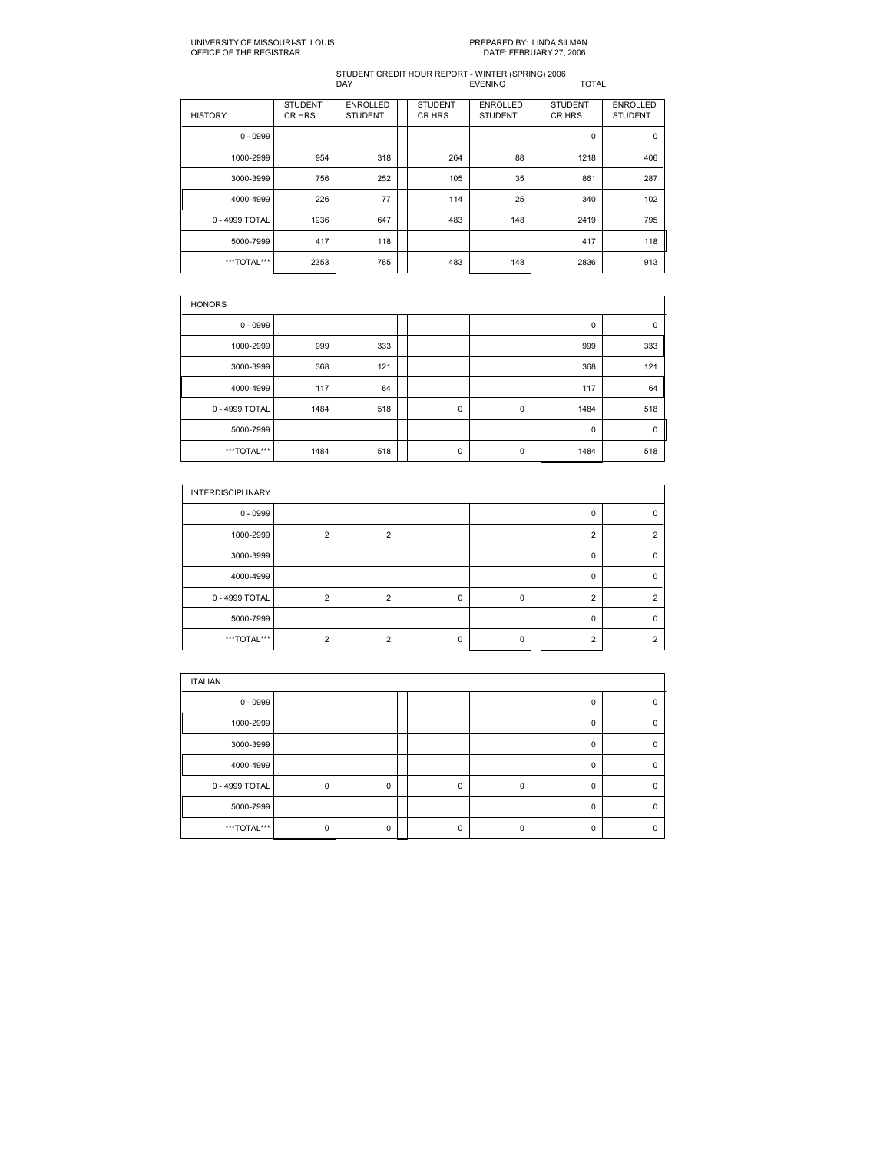| <b>HISTORY</b> | <b>STUDENT</b><br>CR HRS | <b>ENROLLED</b><br><b>STUDENT</b> | <b>STUDENT</b><br>CR HRS | <b>ENROLLED</b><br><b>STUDENT</b> | <b>STUDENT</b><br><b>CRHRS</b> | <b>ENROLLED</b><br><b>STUDENT</b> |
|----------------|--------------------------|-----------------------------------|--------------------------|-----------------------------------|--------------------------------|-----------------------------------|
| $0 - 0999$     |                          |                                   |                          |                                   | 0                              | 0                                 |
| 1000-2999      | 954                      | 318                               | 264                      | 88                                | 1218                           | 406                               |
| 3000-3999      | 756                      | 252                               | 105                      | 35                                | 861                            | 287                               |
| 4000-4999      | 226                      | 77                                | 114                      | 25                                | 340                            | 102                               |
| 0 - 4999 TOTAL | 1936                     | 647                               | 483                      | 148                               | 2419                           | 795                               |
| 5000-7999      | 417                      | 118                               |                          |                                   | 417                            | 118                               |
| ***TOTAL***    | 2353                     | 765                               | 483                      | 148                               | 2836                           | 913                               |

| <b>HONORS</b>  |      |     |  |             |   |  |      |     |  |  |  |  |
|----------------|------|-----|--|-------------|---|--|------|-----|--|--|--|--|
| $0 - 0999$     |      |     |  |             |   |  | 0    | 0   |  |  |  |  |
| 1000-2999      | 999  | 333 |  |             |   |  | 999  | 333 |  |  |  |  |
| 3000-3999      | 368  | 121 |  |             |   |  | 368  | 121 |  |  |  |  |
| 4000-4999      | 117  | 64  |  |             |   |  | 117  | 64  |  |  |  |  |
| 0 - 4999 TOTAL | 1484 | 518 |  | $\mathbf 0$ | 0 |  | 1484 | 518 |  |  |  |  |
| 5000-7999      |      |     |  |             |   |  | 0    | 0   |  |  |  |  |
| ***TOTAL***    | 1484 | 518 |  | 0           | 0 |  | 1484 | 518 |  |  |  |  |

| <b>INTERDISCIPLINARY</b> |                |                |          |          |          |   |
|--------------------------|----------------|----------------|----------|----------|----------|---|
| $0 - 0999$               |                |                |          |          | 0        | n |
| 1000-2999                | $\overline{2}$ | 2              |          |          | っ        | ົ |
| 3000-3999                |                |                |          |          | 0        |   |
| 4000-4999                |                |                |          |          | $\Omega$ |   |
| 0 - 4999 TOTAL           | $\overline{2}$ | $\overline{2}$ | $\Omega$ | 0        | 2        | ົ |
| 5000-7999                |                |                |          |          | $\Omega$ |   |
| ***TOTAL***              | $\mathcal{P}$  | $\mathcal{P}$  | n        | $\Omega$ | ົ        | ົ |

| <b>ITALIAN</b> |             |          |  |          |             |  |          |          |  |  |  |
|----------------|-------------|----------|--|----------|-------------|--|----------|----------|--|--|--|
| $0 - 0999$     |             |          |  |          |             |  | n        | ŋ        |  |  |  |
| 1000-2999      |             |          |  |          |             |  | $\Omega$ | $\Omega$ |  |  |  |
| 3000-3999      |             |          |  |          |             |  | $\Omega$ | $\Omega$ |  |  |  |
| 4000-4999      |             |          |  |          |             |  | $\Omega$ | 0        |  |  |  |
| 0 - 4999 TOTAL | $\mathsf 0$ | 0        |  | $\Omega$ | $\mathbf 0$ |  | $\Omega$ | n        |  |  |  |
| 5000-7999      |             |          |  |          |             |  | $\Omega$ | $\Omega$ |  |  |  |
| ***TOTAL***    | 0           | $\Omega$ |  |          | $\mathbf 0$ |  | n        | n        |  |  |  |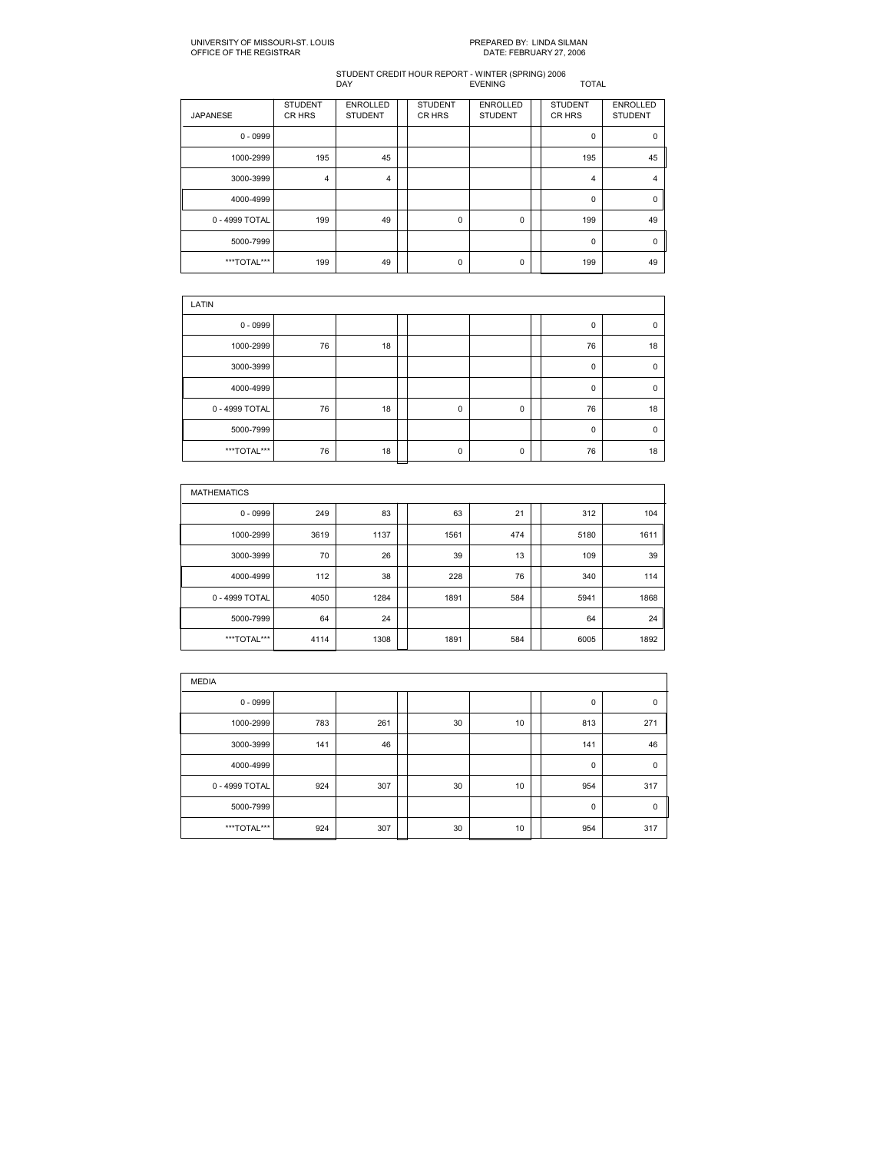| <b>JAPANESE</b> | <b>STUDENT</b><br>CR HRS | <b>ENROLLED</b><br><b>STUDENT</b> | <b>STUDENT</b><br>CR HRS | <b>ENROLLED</b><br><b>STUDENT</b> | <b>STUDENT</b><br><b>CRHRS</b> | <b>ENROLLED</b><br><b>STUDENT</b> |
|-----------------|--------------------------|-----------------------------------|--------------------------|-----------------------------------|--------------------------------|-----------------------------------|
| $0 - 0999$      |                          |                                   |                          |                                   | 0                              | $\mathbf 0$                       |
| 1000-2999       | 195                      | 45                                |                          |                                   | 195                            | 45                                |
| 3000-3999       | $\overline{4}$           | 4                                 |                          |                                   | 4                              | 4                                 |
| 4000-4999       |                          |                                   |                          |                                   | 0                              | 0                                 |
| 0 - 4999 TOTAL  | 199                      | 49                                | $\mathbf 0$              | 0                                 | 199                            | 49                                |
| 5000-7999       |                          |                                   |                          |                                   | 0                              | 0                                 |
| ***TOTAL***     | 199                      | 49                                | $\mathbf 0$              | 0                                 | 199                            | 49                                |

| LATIN          |    |    |  |             |             |  |    |             |  |  |  |
|----------------|----|----|--|-------------|-------------|--|----|-------------|--|--|--|
| $0 - 0999$     |    |    |  |             |             |  | 0  | $\mathbf 0$ |  |  |  |
| 1000-2999      | 76 | 18 |  |             |             |  | 76 | 18          |  |  |  |
| 3000-3999      |    |    |  |             |             |  | 0  | $\mathbf 0$ |  |  |  |
| 4000-4999      |    |    |  |             |             |  | 0  | $\mathbf 0$ |  |  |  |
| 0 - 4999 TOTAL | 76 | 18 |  | $\mathbf 0$ | $\mathbf 0$ |  | 76 | 18          |  |  |  |
| 5000-7999      |    |    |  |             |             |  | 0  | $\mathbf 0$ |  |  |  |
| ***TOTAL***    | 76 | 18 |  | $\mathbf 0$ | $\mathbf 0$ |  | 76 | 18          |  |  |  |

| <b>MATHEMATICS</b> |      |      |  |      |     |  |      |      |  |  |  |
|--------------------|------|------|--|------|-----|--|------|------|--|--|--|
| $0 - 0999$         | 249  | 83   |  | 63   | 21  |  | 312  | 104  |  |  |  |
| 1000-2999          | 3619 | 1137 |  | 1561 | 474 |  | 5180 | 1611 |  |  |  |
| 3000-3999          | 70   | 26   |  | 39   | 13  |  | 109  | 39   |  |  |  |
| 4000-4999          | 112  | 38   |  | 228  | 76  |  | 340  | 114  |  |  |  |
| 0 - 4999 TOTAL     | 4050 | 1284 |  | 1891 | 584 |  | 5941 | 1868 |  |  |  |
| 5000-7999          | 64   | 24   |  |      |     |  | 64   | 24   |  |  |  |
| ***TOTAL***        | 4114 | 1308 |  | 1891 | 584 |  | 6005 | 1892 |  |  |  |

| <b>MEDIA</b>   |     |     |  |    |    |  |             |             |  |  |
|----------------|-----|-----|--|----|----|--|-------------|-------------|--|--|
| $0 - 0999$     |     |     |  |    |    |  | 0           | $\pmb{0}$   |  |  |
| 1000-2999      | 783 | 261 |  | 30 | 10 |  | 813         | 271         |  |  |
| 3000-3999      | 141 | 46  |  |    |    |  | 141         | 46          |  |  |
| 4000-4999      |     |     |  |    |    |  | $\mathbf 0$ | $\mathbf 0$ |  |  |
| 0 - 4999 TOTAL | 924 | 307 |  | 30 | 10 |  | 954         | 317         |  |  |
| 5000-7999      |     |     |  |    |    |  | $\mathbf 0$ | $\mathbf 0$ |  |  |
| ***TOTAL***    | 924 | 307 |  | 30 | 10 |  | 954         | 317         |  |  |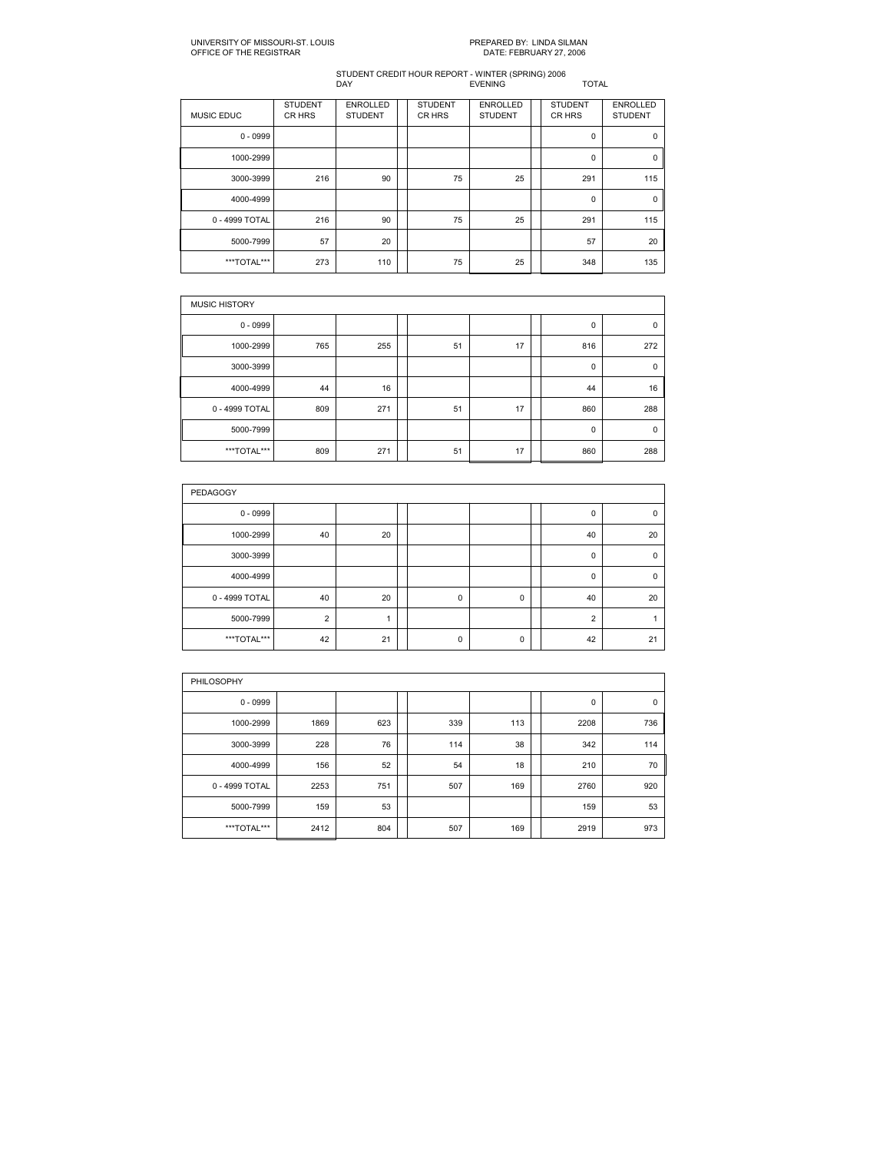| <b>MUSIC EDUC</b> | <b>STUDENT</b><br>CR HRS | <b>ENROLLED</b><br><b>STUDENT</b> | <b>STUDENT</b><br>CR HRS | <b>ENROLLED</b><br><b>STUDENT</b> | <b>STUDENT</b><br>CR HRS | <b>ENROLLED</b><br><b>STUDENT</b> |
|-------------------|--------------------------|-----------------------------------|--------------------------|-----------------------------------|--------------------------|-----------------------------------|
| $0 - 0999$        |                          |                                   |                          |                                   | $\mathbf 0$              | $\mathbf 0$                       |
| 1000-2999         |                          |                                   |                          |                                   | 0                        | 0                                 |
| 3000-3999         | 216                      | 90                                | 75                       | 25                                | 291                      | 115                               |
| 4000-4999         |                          |                                   |                          |                                   | $\mathbf 0$              | 0                                 |
| 0 - 4999 TOTAL    | 216                      | 90                                | 75                       | 25                                | 291                      | 115                               |
| 5000-7999         | 57                       | 20                                |                          |                                   | 57                       | 20                                |
| ***TOTAL***       | 273                      | 110                               | 75                       | 25                                | 348                      | 135                               |

| <b>MUSIC HISTORY</b> |     |     |  |    |    |  |     |             |  |  |  |
|----------------------|-----|-----|--|----|----|--|-----|-------------|--|--|--|
| $0 - 0999$           |     |     |  |    |    |  | 0   | $\mathbf 0$ |  |  |  |
| 1000-2999            | 765 | 255 |  | 51 | 17 |  | 816 | 272         |  |  |  |
| 3000-3999            |     |     |  |    |    |  | 0   | 0           |  |  |  |
| 4000-4999            | 44  | 16  |  |    |    |  | 44  | 16          |  |  |  |
| 0 - 4999 TOTAL       | 809 | 271 |  | 51 | 17 |  | 860 | 288         |  |  |  |
| 5000-7999            |     |     |  |    |    |  | 0   | $\mathbf 0$ |  |  |  |
| ***TOTAL***          | 809 | 271 |  | 51 | 17 |  | 860 | 288         |  |  |  |

| <b>PEDAGOGY</b> |                |    |  |             |   |  |                |             |  |  |  |
|-----------------|----------------|----|--|-------------|---|--|----------------|-------------|--|--|--|
| $0 - 0999$      |                |    |  |             |   |  | 0              | 0           |  |  |  |
| 1000-2999       | 40             | 20 |  |             |   |  | 40             | 20          |  |  |  |
| 3000-3999       |                |    |  |             |   |  | 0              | $\mathbf 0$ |  |  |  |
| 4000-4999       |                |    |  |             |   |  | 0              | $\mathbf 0$ |  |  |  |
| 0 - 4999 TOTAL  | 40             | 20 |  | $\mathbf 0$ | 0 |  | 40             | 20          |  |  |  |
| 5000-7999       | $\overline{2}$ |    |  |             |   |  | $\overline{2}$ |             |  |  |  |
| ***TOTAL***     | 42             | 21 |  | 0           | 0 |  | 42             | 21          |  |  |  |

| <b>PHILOSOPHY</b> |      |     |  |     |     |  |      |     |  |  |  |  |
|-------------------|------|-----|--|-----|-----|--|------|-----|--|--|--|--|
| $0 - 0999$        |      |     |  |     |     |  | 0    | 0   |  |  |  |  |
| 1000-2999         | 1869 | 623 |  | 339 | 113 |  | 2208 | 736 |  |  |  |  |
| 3000-3999         | 228  | 76  |  | 114 | 38  |  | 342  | 114 |  |  |  |  |
| 4000-4999         | 156  | 52  |  | 54  | 18  |  | 210  | 70  |  |  |  |  |
| 0 - 4999 TOTAL    | 2253 | 751 |  | 507 | 169 |  | 2760 | 920 |  |  |  |  |
| 5000-7999         | 159  | 53  |  |     |     |  | 159  | 53  |  |  |  |  |
| ***TOTAL***       | 2412 | 804 |  | 507 | 169 |  | 2919 | 973 |  |  |  |  |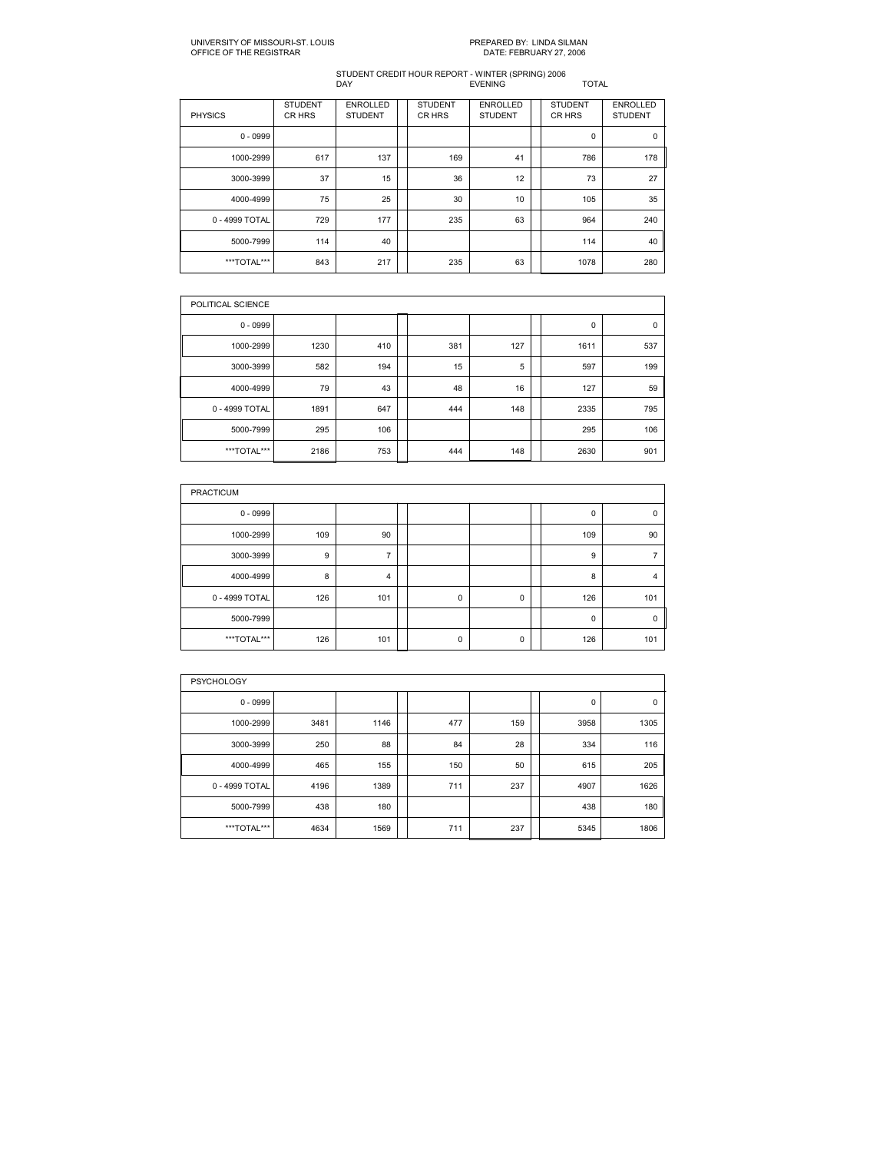| <b>PHYSICS</b> | <b>STUDENT</b><br>CR HRS | <b>ENROLLED</b><br><b>STUDENT</b> | <b>STUDENT</b><br>CR HRS | <b>ENROLLED</b><br><b>STUDENT</b> | <b>STUDENT</b><br>CR HRS | <b>ENROLLED</b><br><b>STUDENT</b> |
|----------------|--------------------------|-----------------------------------|--------------------------|-----------------------------------|--------------------------|-----------------------------------|
| $0 - 0999$     |                          |                                   |                          |                                   | $\mathbf 0$              | 0                                 |
| 1000-2999      | 617                      | 137                               | 169                      | 41                                | 786                      | 178                               |
| 3000-3999      | 37                       | 15                                | 36                       | 12                                | 73                       | 27                                |
| 4000-4999      | 75                       | 25                                | 30                       | 10                                | 105                      | 35                                |
| 0 - 4999 TOTAL | 729                      | 177                               | 235                      | 63                                | 964                      | 240                               |
| 5000-7999      | 114                      | 40                                |                          |                                   | 114                      | 40                                |
| ***TOTAL***    | 843                      | 217                               | 235                      | 63                                | 1078                     | 280                               |

| POLITICAL SCIENCE |      |     |     |     |      |             |
|-------------------|------|-----|-----|-----|------|-------------|
| $0 - 0999$        |      |     |     |     | 0    | $\mathbf 0$ |
| 1000-2999         | 1230 | 410 | 381 | 127 | 1611 | 537         |
| 3000-3999         | 582  | 194 | 15  | 5   | 597  | 199         |
| 4000-4999         | 79   | 43  | 48  | 16  | 127  | 59          |
| 0 - 4999 TOTAL    | 1891 | 647 | 444 | 148 | 2335 | 795         |
| 5000-7999         | 295  | 106 |     |     | 295  | 106         |
| ***TOTAL***       | 2186 | 753 | 444 | 148 | 2630 | 901         |

| <b>PRACTICUM</b> |     |     |  |             |   |  |             |             |  |  |  |
|------------------|-----|-----|--|-------------|---|--|-------------|-------------|--|--|--|
| $0 - 0999$       |     |     |  |             |   |  | $\mathbf 0$ | $\mathbf 0$ |  |  |  |
| 1000-2999        | 109 | 90  |  |             |   |  | 109         | 90          |  |  |  |
| 3000-3999        | 9   |     |  |             |   |  | 9           |             |  |  |  |
| 4000-4999        | 8   | 4   |  |             |   |  | 8           | 4           |  |  |  |
| 0 - 4999 TOTAL   | 126 | 101 |  | $\mathbf 0$ | 0 |  | 126         | 101         |  |  |  |
| 5000-7999        |     |     |  |             |   |  | $\mathbf 0$ | $\mathbf 0$ |  |  |  |
| ***TOTAL***      | 126 | 101 |  | $\mathbf 0$ | 0 |  | 126         | 101         |  |  |  |

| <b>PSYCHOLOGY</b> |      |      |  |     |     |  |      |             |  |  |  |  |  |
|-------------------|------|------|--|-----|-----|--|------|-------------|--|--|--|--|--|
| $0 - 0999$        |      |      |  |     |     |  | 0    | $\mathbf 0$ |  |  |  |  |  |
| 1000-2999         | 3481 | 1146 |  | 477 | 159 |  | 3958 | 1305        |  |  |  |  |  |
| 3000-3999         | 250  | 88   |  | 84  | 28  |  | 334  | 116         |  |  |  |  |  |
| 4000-4999         | 465  | 155  |  | 150 | 50  |  | 615  | 205         |  |  |  |  |  |
| 0 - 4999 TOTAL    | 4196 | 1389 |  | 711 | 237 |  | 4907 | 1626        |  |  |  |  |  |
| 5000-7999         | 438  | 180  |  |     |     |  | 438  | 180         |  |  |  |  |  |
| ***TOTAL***       | 4634 | 1569 |  | 711 | 237 |  | 5345 | 1806        |  |  |  |  |  |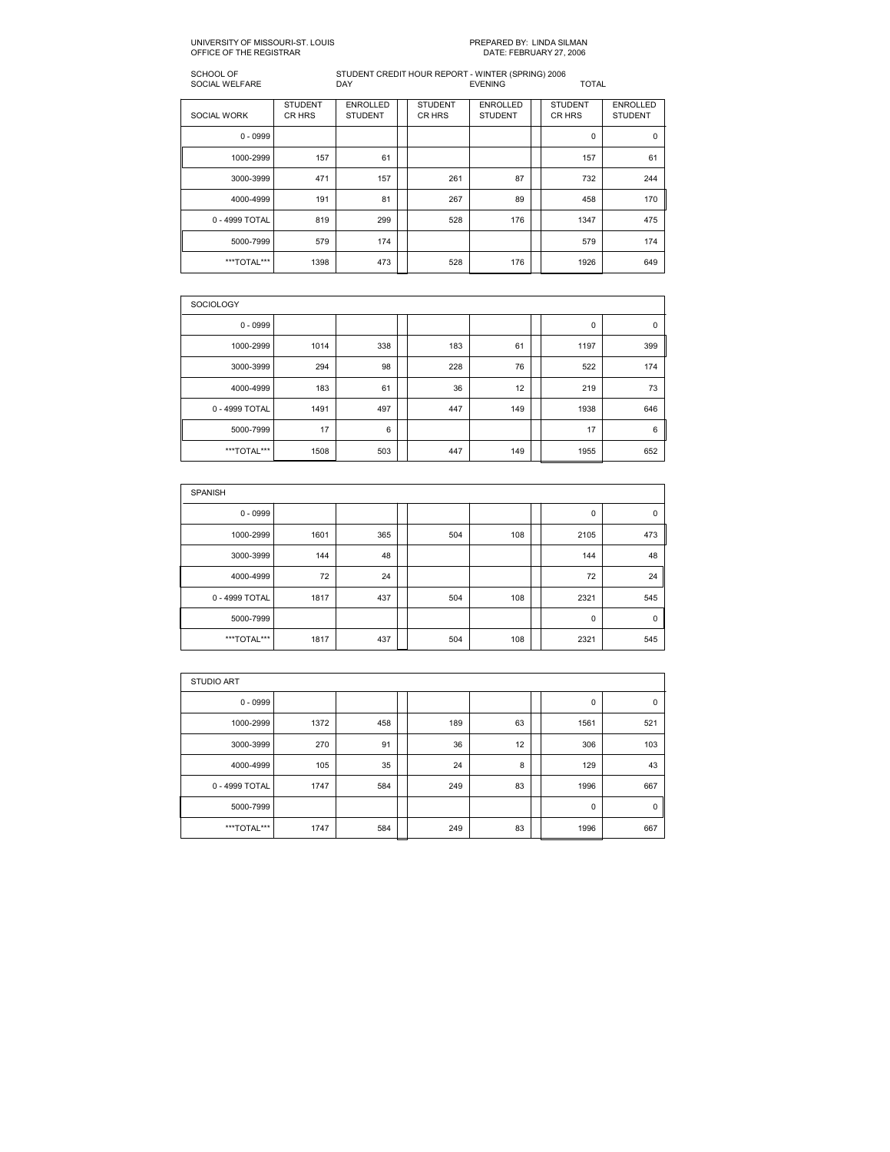#### SCHOOL OF STUDENT CREDIT HOUR REPORT WINTER (SPRING) 2006 SOCIAL WELFARE DAY EVENING TOTAL

| <b>SOCIAL WORK</b> | <b>STUDENT</b><br>CR HRS | <b>ENROLLED</b><br><b>STUDENT</b> | <b>STUDENT</b><br>CR HRS | <b>ENROLLED</b><br><b>STUDENT</b> | <b>STUDENT</b><br>CR HRS | <b>ENROLLED</b><br><b>STUDENT</b> |
|--------------------|--------------------------|-----------------------------------|--------------------------|-----------------------------------|--------------------------|-----------------------------------|
| $0 - 0999$         |                          |                                   |                          |                                   | 0                        | 0                                 |
| 1000-2999          | 157                      | 61                                |                          |                                   | 157                      | 61                                |
| 3000-3999          | 471                      | 157                               | 261                      | 87                                | 732                      | 244                               |
| 4000-4999          | 191                      | 81                                | 267                      | 89                                | 458                      | 170                               |
| 0 - 4999 TOTAL     | 819                      | 299                               | 528                      | 176                               | 1347                     | 475                               |
| 5000-7999          | 579                      | 174                               |                          |                                   | 579                      | 174                               |
| ***TOTAL***        | 1398                     | 473                               | 528                      | 176                               | 1926                     | 649                               |

| <b>SOCIOLOGY</b> |      |     |  |     |     |  |      |     |  |  |  |  |
|------------------|------|-----|--|-----|-----|--|------|-----|--|--|--|--|
| $0 - 0999$       |      |     |  |     |     |  | 0    | 0   |  |  |  |  |
| 1000-2999        | 1014 | 338 |  | 183 | 61  |  | 1197 | 399 |  |  |  |  |
| 3000-3999        | 294  | 98  |  | 228 | 76  |  | 522  | 174 |  |  |  |  |
| 4000-4999        | 183  | 61  |  | 36  | 12  |  | 219  | 73  |  |  |  |  |
| 0 - 4999 TOTAL   | 1491 | 497 |  | 447 | 149 |  | 1938 | 646 |  |  |  |  |
| 5000-7999        | 17   | 6   |  |     |     |  | 17   | 6   |  |  |  |  |
| ***TOTAL***      | 1508 | 503 |  | 447 | 149 |  | 1955 | 652 |  |  |  |  |

| <b>SPANISH</b> |      |     |  |     |     |  |             |             |  |  |  |  |
|----------------|------|-----|--|-----|-----|--|-------------|-------------|--|--|--|--|
| $0 - 0999$     |      |     |  |     |     |  | 0           | $\mathbf 0$ |  |  |  |  |
| 1000-2999      | 1601 | 365 |  | 504 | 108 |  | 2105        | 473         |  |  |  |  |
| 3000-3999      | 144  | 48  |  |     |     |  | 144         | 48          |  |  |  |  |
| 4000-4999      | 72   | 24  |  |     |     |  | 72          | 24          |  |  |  |  |
| 0 - 4999 TOTAL | 1817 | 437 |  | 504 | 108 |  | 2321        | 545         |  |  |  |  |
| 5000-7999      |      |     |  |     |     |  | $\mathbf 0$ | $\mathbf 0$ |  |  |  |  |
| ***TOTAL***    | 1817 | 437 |  | 504 | 108 |  | 2321        | 545         |  |  |  |  |

| <b>STUDIO ART</b> |      |     |  |     |    |  |             |     |  |  |  |  |
|-------------------|------|-----|--|-----|----|--|-------------|-----|--|--|--|--|
| $0 - 0999$        |      |     |  |     |    |  | 0           | 0   |  |  |  |  |
| 1000-2999         | 1372 | 458 |  | 189 | 63 |  | 1561        | 521 |  |  |  |  |
| 3000-3999         | 270  | 91  |  | 36  | 12 |  | 306         | 103 |  |  |  |  |
| 4000-4999         | 105  | 35  |  | 24  | 8  |  | 129         | 43  |  |  |  |  |
| 0 - 4999 TOTAL    | 1747 | 584 |  | 249 | 83 |  | 1996        | 667 |  |  |  |  |
| 5000-7999         |      |     |  |     |    |  | $\mathbf 0$ | 0   |  |  |  |  |
| ***TOTAL***       | 1747 | 584 |  | 249 | 83 |  | 1996        | 667 |  |  |  |  |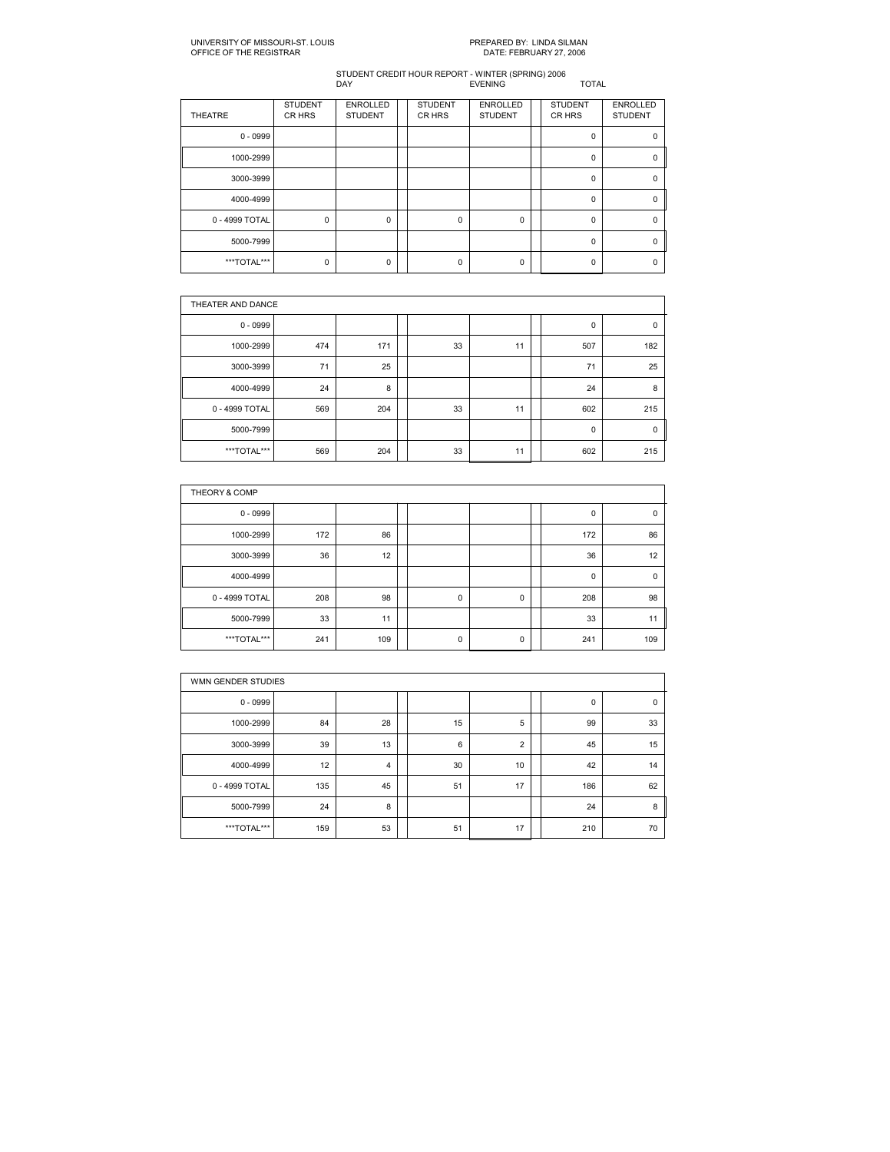| <b>THEATRE</b> | <b>STUDENT</b><br>CR HRS | <b>ENROLLED</b><br><b>STUDENT</b> | <b>STUDENT</b><br>CR HRS | <b>ENROLLED</b><br><b>STUDENT</b> | <b>STUDENT</b><br>CR HRS | <b>ENROLLED</b><br><b>STUDENT</b> |
|----------------|--------------------------|-----------------------------------|--------------------------|-----------------------------------|--------------------------|-----------------------------------|
| $0 - 0999$     |                          |                                   |                          |                                   | $\Omega$                 | ŋ                                 |
| 1000-2999      |                          |                                   |                          |                                   | $\mathbf 0$              | 0                                 |
| 3000-3999      |                          |                                   |                          |                                   | $\Omega$                 | ŋ                                 |
| 4000-4999      |                          |                                   |                          |                                   | $\mathbf 0$              | 0                                 |
| 0 - 4999 TOTAL | $\mathbf 0$              | $\Omega$                          | $\Omega$                 | $\Omega$                          | $\Omega$                 | O                                 |
| 5000-7999      |                          |                                   |                          |                                   | $\mathbf 0$              | 0                                 |
| ***TOTAL***    | $\mathbf 0$              | $\Omega$                          | $\Omega$                 | $\Omega$                          | $\Omega$                 | ŋ                                 |

|                | THEATER AND DANCE |     |  |    |    |  |     |             |  |  |  |  |
|----------------|-------------------|-----|--|----|----|--|-----|-------------|--|--|--|--|
| $0 - 0999$     |                   |     |  |    |    |  | 0   | $\mathbf 0$ |  |  |  |  |
| 1000-2999      | 474               | 171 |  | 33 | 11 |  | 507 | 182         |  |  |  |  |
| 3000-3999      | 71                | 25  |  |    |    |  | 71  | 25          |  |  |  |  |
| 4000-4999      | 24                | 8   |  |    |    |  | 24  | 8           |  |  |  |  |
| 0 - 4999 TOTAL | 569               | 204 |  | 33 | 11 |  | 602 | 215         |  |  |  |  |
| 5000-7999      |                   |     |  |    |    |  | 0   | $\mathbf 0$ |  |  |  |  |
| ***TOTAL***    | 569               | 204 |  | 33 | 11 |  | 602 | 215         |  |  |  |  |

| THEORY & COMP  |     |     |  |             |   |  |     |             |  |  |  |  |
|----------------|-----|-----|--|-------------|---|--|-----|-------------|--|--|--|--|
| $0 - 0999$     |     |     |  |             |   |  | 0   | 0           |  |  |  |  |
| 1000-2999      | 172 | 86  |  |             |   |  | 172 | 86          |  |  |  |  |
| 3000-3999      | 36  | 12  |  |             |   |  | 36  | 12          |  |  |  |  |
| 4000-4999      |     |     |  |             |   |  | 0   | $\mathbf 0$ |  |  |  |  |
| 0 - 4999 TOTAL | 208 | 98  |  | $\mathbf 0$ | 0 |  | 208 | 98          |  |  |  |  |
| 5000-7999      | 33  | 11  |  |             |   |  | 33  | 11          |  |  |  |  |
| ***TOTAL***    | 241 | 109 |  | 0           | 0 |  | 241 | 109         |  |  |  |  |

|                | WMN GENDER STUDIES |    |  |    |    |  |     |    |  |  |  |  |
|----------------|--------------------|----|--|----|----|--|-----|----|--|--|--|--|
| $0 - 0999$     |                    |    |  |    |    |  | 0   | 0  |  |  |  |  |
| 1000-2999      | 84                 | 28 |  | 15 | 5  |  | 99  | 33 |  |  |  |  |
| 3000-3999      | 39                 | 13 |  | 6  | 2  |  | 45  | 15 |  |  |  |  |
| 4000-4999      | 12                 | 4  |  | 30 | 10 |  | 42  | 14 |  |  |  |  |
| 0 - 4999 TOTAL | 135                | 45 |  | 51 | 17 |  | 186 | 62 |  |  |  |  |
| 5000-7999      | 24                 | 8  |  |    |    |  | 24  | 8  |  |  |  |  |
| ***TOTAL***    | 159                | 53 |  | 51 | 17 |  | 210 | 70 |  |  |  |  |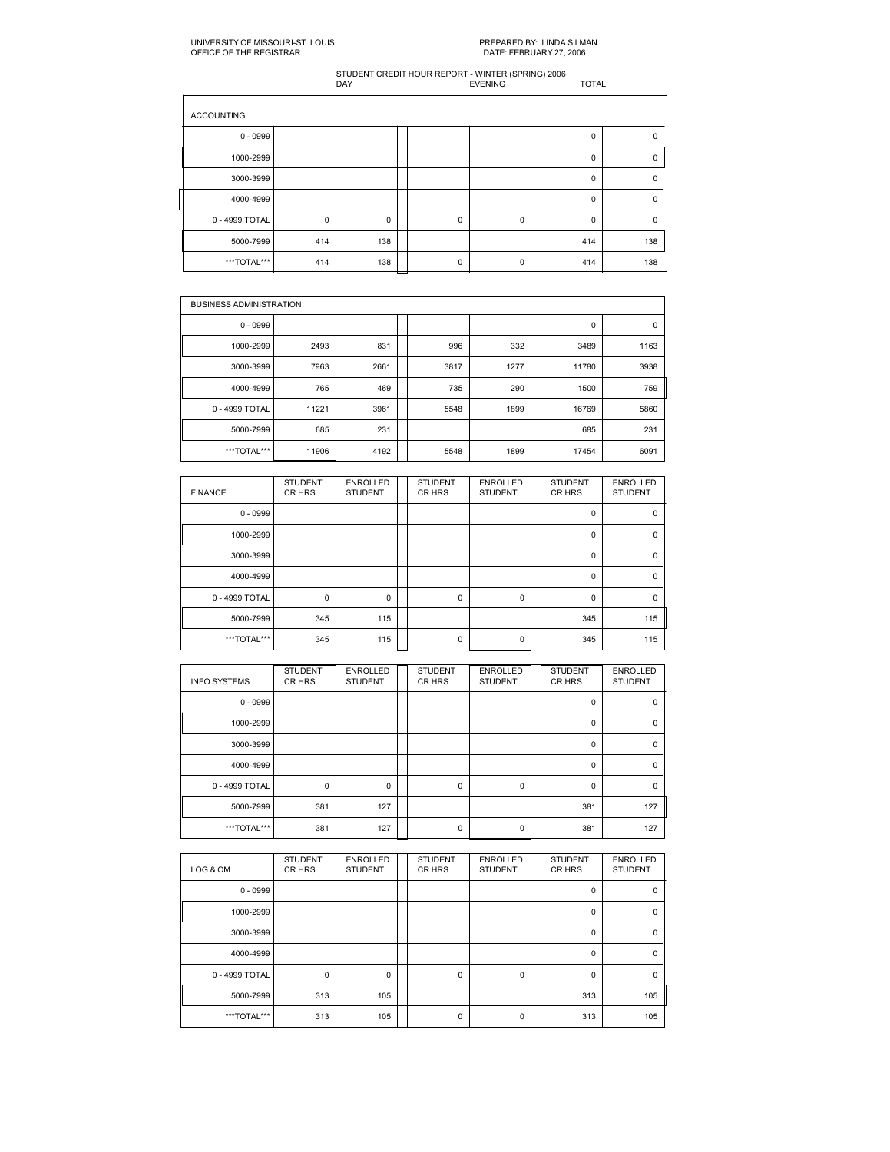| <b>ACCOUNTING</b> |             |          |             |   |             |          |
|-------------------|-------------|----------|-------------|---|-------------|----------|
| $0 - 0999$        |             |          |             |   | $\mathbf 0$ | 0        |
| 1000-2999         |             |          |             |   | $\mathbf 0$ | $\Omega$ |
| 3000-3999         |             |          |             |   | $\mathbf 0$ | 0        |
| 4000-4999         |             |          |             |   | $\mathbf 0$ |          |
| 0 - 4999 TOTAL    | $\mathbf 0$ | $\Omega$ | $\mathbf 0$ | 0 | $\Omega$    | n        |
| 5000-7999         | 414         | 138      |             |   | 414         | 138      |
| ***TOTAL***       | 414         | 138      | $\Omega$    | 0 | 414         | 138      |

| <b>BUSINESS ADMINISTRATION</b> |       |      |  |      |      |  |       |      |  |  |  |
|--------------------------------|-------|------|--|------|------|--|-------|------|--|--|--|
| $0 - 0999$                     |       |      |  |      |      |  | 0     | 0    |  |  |  |
| 1000-2999                      | 2493  | 831  |  | 996  | 332  |  | 3489  | 1163 |  |  |  |
| 3000-3999                      | 7963  | 2661 |  | 3817 | 1277 |  | 11780 | 3938 |  |  |  |
| 4000-4999                      | 765   | 469  |  | 735  | 290  |  | 1500  | 759  |  |  |  |
| 0 - 4999 TOTAL                 | 11221 | 3961 |  | 5548 | 1899 |  | 16769 | 5860 |  |  |  |
| 5000-7999                      | 685   | 231  |  |      |      |  | 685   | 231  |  |  |  |
| ***TOTAL***                    | 11906 | 4192 |  | 5548 | 1899 |  | 17454 | 6091 |  |  |  |

| <b>FINANCE</b> | <b>STUDENT</b><br>CR HRS | <b>ENROLLED</b><br><b>STUDENT</b> | <b>STUDENT</b><br>CR HRS | <b>ENROLLED</b><br><b>STUDENT</b> | <b>STUDENT</b><br>CR HRS | <b>ENROLLED</b><br><b>STUDENT</b> |
|----------------|--------------------------|-----------------------------------|--------------------------|-----------------------------------|--------------------------|-----------------------------------|
| $0 - 0999$     |                          |                                   |                          |                                   | 0                        | 0                                 |
| 1000-2999      |                          |                                   |                          |                                   | $\mathbf 0$              | $\Omega$                          |
| 3000-3999      |                          |                                   |                          |                                   | $\mathbf 0$              | 0                                 |
| 4000-4999      |                          |                                   |                          |                                   | $\Omega$                 | $\Omega$                          |
| 0 - 4999 TOTAL | $\mathbf 0$              | 0                                 | 0                        | $\mathbf 0$                       | $\mathbf 0$              | $\Omega$                          |
| 5000-7999      | 345                      | 115                               |                          |                                   | 345                      | 115                               |
| ***TOTAL***    | 345                      | 115                               | 0                        | 0                                 | 345                      | 115                               |

| <b>INFO SYSTEMS</b> | <b>STUDENT</b><br>CR HRS | <b>ENROLLED</b><br><b>STUDENT</b> | <b>STUDENT</b><br>CR HRS | <b>ENROLLED</b><br><b>STUDENT</b> | <b>STUDENT</b><br>CR HRS | <b>ENROLLED</b><br><b>STUDENT</b> |
|---------------------|--------------------------|-----------------------------------|--------------------------|-----------------------------------|--------------------------|-----------------------------------|
| $0 - 0999$          |                          |                                   |                          |                                   | 0                        | $\Omega$                          |
| 1000-2999           |                          |                                   |                          |                                   | $\mathbf 0$              | $\Omega$                          |
| 3000-3999           |                          |                                   |                          |                                   | 0                        | $\Omega$                          |
| 4000-4999           |                          |                                   |                          |                                   | $\mathbf 0$              | $\Omega$                          |
| 0 - 4999 TOTAL      | $\mathbf 0$              | 0                                 | 0                        | $\mathbf 0$                       | 0                        | $\Omega$                          |
| 5000-7999           | 381                      | 127                               |                          |                                   | 381                      | 127                               |
| ***TOTAL***         | 381                      | 127                               | 0                        | 0                                 | 381                      | 127                               |

| LOG & OM       | <b>STUDENT</b><br>CR HRS | <b>ENROLLED</b><br><b>STUDENT</b> | <b>STUDENT</b><br>CR HRS | <b>ENROLLED</b><br><b>STUDENT</b> | <b>STUDENT</b><br>CR HRS | <b>ENROLLED</b><br><b>STUDENT</b> |
|----------------|--------------------------|-----------------------------------|--------------------------|-----------------------------------|--------------------------|-----------------------------------|
| $0 - 0999$     |                          |                                   |                          |                                   | 0                        | 0                                 |
| 1000-2999      |                          |                                   |                          |                                   | $\mathbf 0$              | 0                                 |
| 3000-3999      |                          |                                   |                          |                                   | $\Omega$                 | $\Omega$                          |
| 4000-4999      |                          |                                   |                          |                                   | $\mathbf 0$              | $\mathbf 0$                       |
| 0 - 4999 TOTAL | $\mathbf 0$              | $\mathbf 0$                       | $\Omega$                 | $\mathbf 0$                       | $\Omega$                 | $\Omega$                          |
| 5000-7999      | 313                      | 105                               |                          |                                   | 313                      | 105                               |
| ***TOTAL***    | 313                      | 105                               | $\mathbf 0$              | $\mathbf 0$                       | 313                      | 105                               |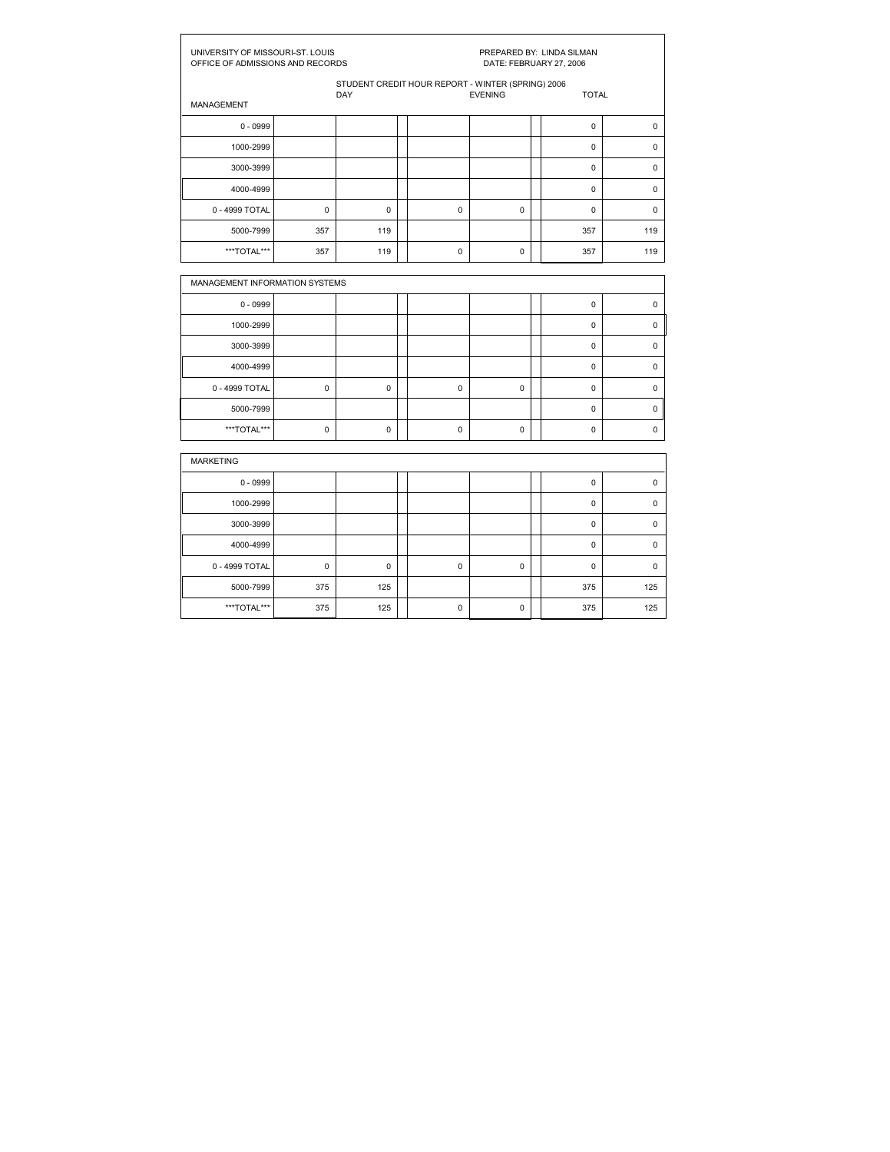| UNIVERSITY OF MISSOURI-ST. LOUIS<br>OFFICE OF ADMISSIONS AND RECORDS |             |                                                          |             | DATE: FEBRUARY 27, 2006 | PREPARED BY: LINDA SILMAN |             |
|----------------------------------------------------------------------|-------------|----------------------------------------------------------|-------------|-------------------------|---------------------------|-------------|
|                                                                      |             | STUDENT CREDIT HOUR REPORT - WINTER (SPRING) 2006<br>DAY |             | <b>EVENING</b>          | <b>TOTAL</b>              |             |
| MANAGEMENT                                                           |             |                                                          |             |                         |                           |             |
| $0 - 0999$                                                           |             |                                                          |             |                         | $\pmb{0}$                 | 0           |
| 1000-2999                                                            |             |                                                          |             |                         | $\mathbf 0$               | $\pmb{0}$   |
| 3000-3999                                                            |             |                                                          |             |                         | $\mathbf 0$               | $\mathbf 0$ |
| 4000-4999                                                            |             |                                                          |             |                         | $\mathbf 0$               | $\mathbf 0$ |
| 0 - 4999 TOTAL                                                       | $\mathbf 0$ | $\mathbf 0$                                              | $\mathbf 0$ | 0                       | $\mathbf 0$               | $\mathbf 0$ |
| 5000-7999                                                            | 357         | 119                                                      |             |                         | 357                       | 119         |
| ***TOTAL***                                                          | 357         | 119                                                      | $\mathbf 0$ | $\mathbf 0$             | 357                       | 119         |
|                                                                      |             |                                                          |             |                         |                           |             |
| MANAGEMENT INFORMATION SYSTEMS                                       |             |                                                          |             |                         |                           |             |
| $0 - 0999$                                                           |             |                                                          |             |                         | $\pmb{0}$                 | $\pmb{0}$   |
| 1000-2999                                                            |             |                                                          |             |                         | $\mathbf 0$               | $\pmb{0}$   |
| 3000-3999                                                            |             |                                                          |             |                         | $\mathbf 0$               | 0           |
| 4000-4999                                                            |             |                                                          |             |                         | $\mathbf 0$               | 0           |
| 0 - 4999 TOTAL                                                       | 0           | 0                                                        | 0           | 0                       | 0                         | 0           |
| 5000-7999                                                            |             |                                                          |             |                         | $\mathbf 0$               | 0           |
| ***TOTAL***                                                          | 0           | $\mathbf 0$                                              | $\mathbf 0$ | 0                       | $\mathbf 0$               | $\mathbf 0$ |
| <b>MARKETING</b>                                                     |             |                                                          |             |                         |                           |             |
| $0 - 0999$                                                           |             |                                                          |             |                         | $\pmb{0}$                 | 0           |
| 1000-2999                                                            |             |                                                          |             |                         | $\mathbf 0$               | $\pmb{0}$   |
| 3000-3999                                                            |             |                                                          |             |                         | $\Omega$                  | 0           |
| 4000-4999                                                            |             |                                                          |             |                         | $\mathbf 0$               | $\mathbf 0$ |
| 0 - 4999 TOTAL                                                       | 0           | 0                                                        | 0           | 0                       | $\pmb{0}$                 | 0           |
|                                                                      |             |                                                          |             |                         |                           |             |
| 5000-7999                                                            | 375         | 125                                                      |             |                         | 375                       | 125         |
| ***TOTAL***                                                          | 375         | 125                                                      | 0           | $\mathbf 0$             | 375                       | 125         |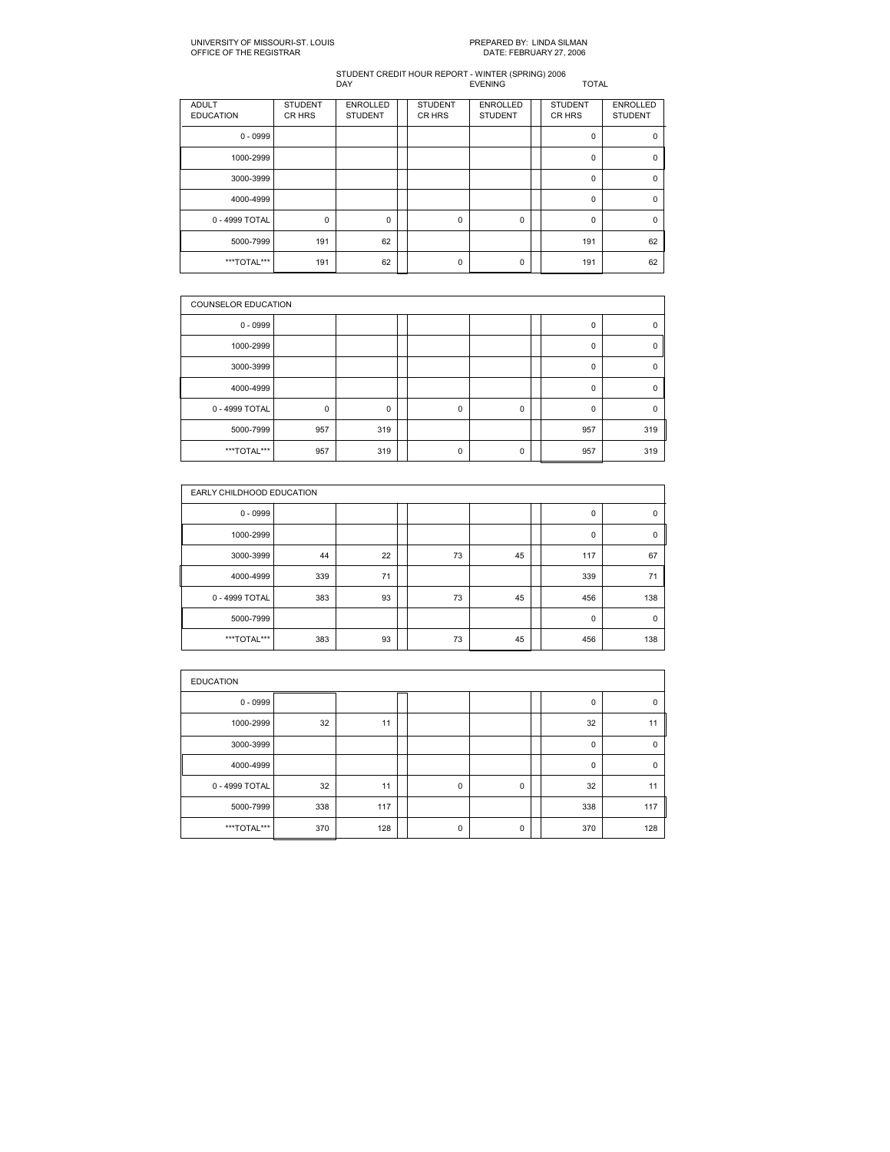| <b>ADULT</b><br><b>EDUCATION</b> | <b>STUDENT</b><br>CR HRS | <b>ENROLLED</b><br><b>STUDENT</b> | <b>STUDENT</b><br>CR HRS | <b>ENROLLED</b><br><b>STUDENT</b> | <b>STUDENT</b><br>CR HRS | <b>ENROLLED</b><br><b>STUDENT</b> |
|----------------------------------|--------------------------|-----------------------------------|--------------------------|-----------------------------------|--------------------------|-----------------------------------|
| $0 - 0999$                       |                          |                                   |                          |                                   | 0                        | 0                                 |
| 1000-2999                        |                          |                                   |                          |                                   | 0                        | 0                                 |
| 3000-3999                        |                          |                                   |                          |                                   | $\mathbf 0$              | $\mathbf 0$                       |
| 4000-4999                        |                          |                                   |                          |                                   | 0                        | 0                                 |
| 0 - 4999 TOTAL                   | 0                        | $\mathbf 0$                       | $\Omega$                 | 0                                 | $\Omega$                 | $\Omega$                          |
| 5000-7999                        | 191                      | 62                                |                          |                                   | 191                      | 62                                |
| ***TOTAL***                      | 191                      | 62                                | $\mathbf 0$              | $\Omega$                          | 191                      | 62                                |

|                | <b>COUNSELOR EDUCATION</b> |     |  |          |             |  |             |          |  |  |  |
|----------------|----------------------------|-----|--|----------|-------------|--|-------------|----------|--|--|--|
| $0 - 0999$     |                            |     |  |          |             |  | $\mathbf 0$ | $\Omega$ |  |  |  |
| 1000-2999      |                            |     |  |          |             |  | $\mathbf 0$ | 0        |  |  |  |
| 3000-3999      |                            |     |  |          |             |  | $\mathbf 0$ | $\Omega$ |  |  |  |
| 4000-4999      |                            |     |  |          |             |  | $\mathbf 0$ | $\Omega$ |  |  |  |
| 0 - 4999 TOTAL | $\mathbf 0$                | 0   |  | 0        | $\mathbf 0$ |  | $\mathbf 0$ | $\Omega$ |  |  |  |
| 5000-7999      | 957                        | 319 |  |          |             |  | 957         | 319      |  |  |  |
| ***TOTAL***    | 957                        | 319 |  | $\Omega$ | $\Omega$    |  | 957         | 319      |  |  |  |

|                | EARLY CHILDHOOD EDUCATION |    |  |    |    |  |             |     |  |  |  |
|----------------|---------------------------|----|--|----|----|--|-------------|-----|--|--|--|
| $0 - 0999$     |                           |    |  |    |    |  | 0           | 0   |  |  |  |
| 1000-2999      |                           |    |  |    |    |  | $\mathbf 0$ | 0   |  |  |  |
| 3000-3999      | 44                        | 22 |  | 73 | 45 |  | 117         | 67  |  |  |  |
| 4000-4999      | 339                       | 71 |  |    |    |  | 339         | 71  |  |  |  |
| 0 - 4999 TOTAL | 383                       | 93 |  | 73 | 45 |  | 456         | 138 |  |  |  |
| 5000-7999      |                           |    |  |    |    |  | $\mathbf 0$ | 0   |  |  |  |
| ***TOTAL***    | 383                       | 93 |  | 73 | 45 |  | 456         | 138 |  |  |  |

| <b>EDUCATION</b> |     |     |  |             |   |  |             |             |  |  |  |
|------------------|-----|-----|--|-------------|---|--|-------------|-------------|--|--|--|
| $0 - 0999$       |     |     |  |             |   |  | $\mathbf 0$ | $\mathbf 0$ |  |  |  |
| 1000-2999        | 32  | 11  |  |             |   |  | 32          | 11          |  |  |  |
| 3000-3999        |     |     |  |             |   |  | 0           | $\mathbf 0$ |  |  |  |
| 4000-4999        |     |     |  |             |   |  | $\mathbf 0$ | $\mathbf 0$ |  |  |  |
| 0 - 4999 TOTAL   | 32  | 11  |  | $\mathbf 0$ | 0 |  | 32          | 11          |  |  |  |
| 5000-7999        | 338 | 117 |  |             |   |  | 338         | 117         |  |  |  |
| ***TOTAL***      | 370 | 128 |  | $\mathbf 0$ | 0 |  | 370         | 128         |  |  |  |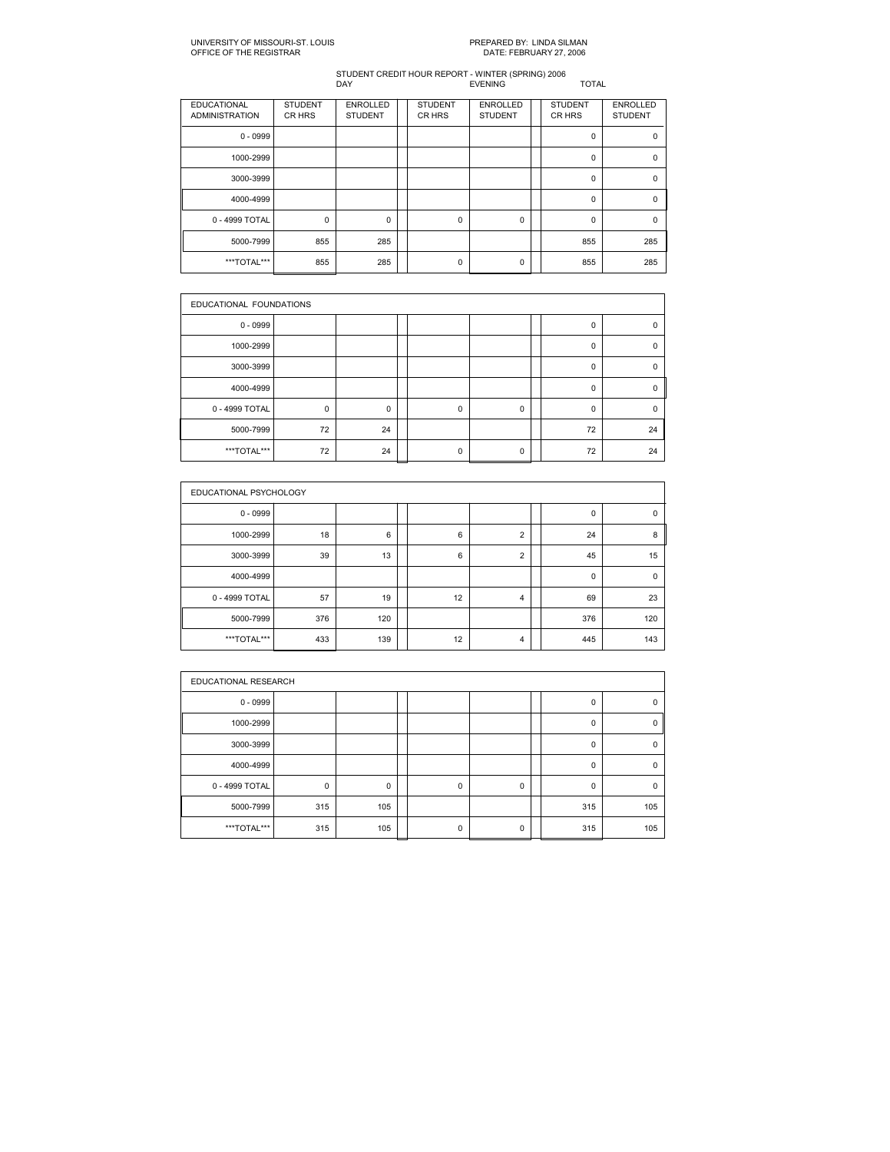| <b>EDUCATIONAL</b><br><b>ADMINISTRATION</b> | <b>STUDENT</b><br>CR HRS | <b>ENROLLED</b><br><b>STUDENT</b> | <b>STUDENT</b><br>CR HRS | <b>ENROLLED</b><br><b>STUDENT</b> | <b>STUDENT</b><br><b>CRHRS</b> | <b>ENROLLED</b><br><b>STUDENT</b> |
|---------------------------------------------|--------------------------|-----------------------------------|--------------------------|-----------------------------------|--------------------------------|-----------------------------------|
| $0 - 0999$                                  |                          |                                   |                          |                                   | 0                              | 0                                 |
| 1000-2999                                   |                          |                                   |                          |                                   | 0                              | $\Omega$                          |
| 3000-3999                                   |                          |                                   |                          |                                   | $\mathbf 0$                    | $\Omega$                          |
| 4000-4999                                   |                          |                                   |                          |                                   | 0                              | 0                                 |
| 0 - 4999 TOTAL                              | 0                        | 0                                 | $\Omega$                 | 0                                 | $\Omega$                       | $\Omega$                          |
| 5000-7999                                   | 855                      | 285                               |                          |                                   | 855                            | 285                               |
| ***TOTAL***                                 | 855                      | 285                               | $\Omega$                 | 0                                 | 855                            | 285                               |

|                | EDUCATIONAL FOUNDATIONS |          |  |             |   |  |             |             |  |  |  |
|----------------|-------------------------|----------|--|-------------|---|--|-------------|-------------|--|--|--|
| $0 - 0999$     |                         |          |  |             |   |  | $\mathbf 0$ | $\Omega$    |  |  |  |
| 1000-2999      |                         |          |  |             |   |  | 0           | 0           |  |  |  |
| 3000-3999      |                         |          |  |             |   |  | 0           | 0           |  |  |  |
| 4000-4999      |                         |          |  |             |   |  | $\mathbf 0$ | $\mathbf 0$ |  |  |  |
| 0 - 4999 TOTAL | $\mathbf 0$             | $\Omega$ |  | $\mathbf 0$ | 0 |  | $\mathbf 0$ | $\Omega$    |  |  |  |
| 5000-7999      | 72                      | 24       |  |             |   |  | 72          | 24          |  |  |  |
| ***TOTAL***    | 72                      | 24       |  | $\mathbf 0$ | 0 |  | 72          | 24          |  |  |  |

|                | EDUCATIONAL PSYCHOLOGY |     |  |    |                |  |             |             |  |  |  |
|----------------|------------------------|-----|--|----|----------------|--|-------------|-------------|--|--|--|
| $0 - 0999$     |                        |     |  |    |                |  | 0           | $\pmb{0}$   |  |  |  |
| 1000-2999      | 18                     | 6   |  | 6  | $\overline{2}$ |  | 24          | 8           |  |  |  |
| 3000-3999      | 39                     | 13  |  | 6  | $\overline{2}$ |  | 45          | 15          |  |  |  |
| 4000-4999      |                        |     |  |    |                |  | $\mathbf 0$ | $\mathbf 0$ |  |  |  |
| 0 - 4999 TOTAL | 57                     | 19  |  | 12 | 4              |  | 69          | 23          |  |  |  |
| 5000-7999      | 376                    | 120 |  |    |                |  | 376         | 120         |  |  |  |
| ***TOTAL***    | 433                    | 139 |  | 12 | 4              |  | 445         | 143         |  |  |  |

| EDUCATIONAL RESEARCH |             |     |  |          |             |  |             |          |  |  |
|----------------------|-------------|-----|--|----------|-------------|--|-------------|----------|--|--|
| $0 - 0999$           |             |     |  |          |             |  | 0           | 0        |  |  |
| 1000-2999            |             |     |  |          |             |  | 0           | 0        |  |  |
| 3000-3999            |             |     |  |          |             |  | $\Omega$    | $\Omega$ |  |  |
| 4000-4999            |             |     |  |          |             |  | $\mathbf 0$ | $\Omega$ |  |  |
| 0 - 4999 TOTAL       | $\mathbf 0$ | 0   |  | $\Omega$ | $\mathbf 0$ |  | $\Omega$    | O        |  |  |
| 5000-7999            | 315         | 105 |  |          |             |  | 315         | 105      |  |  |
| ***TOTAL***          | 315         | 105 |  | 0        | 0           |  | 315         | 105      |  |  |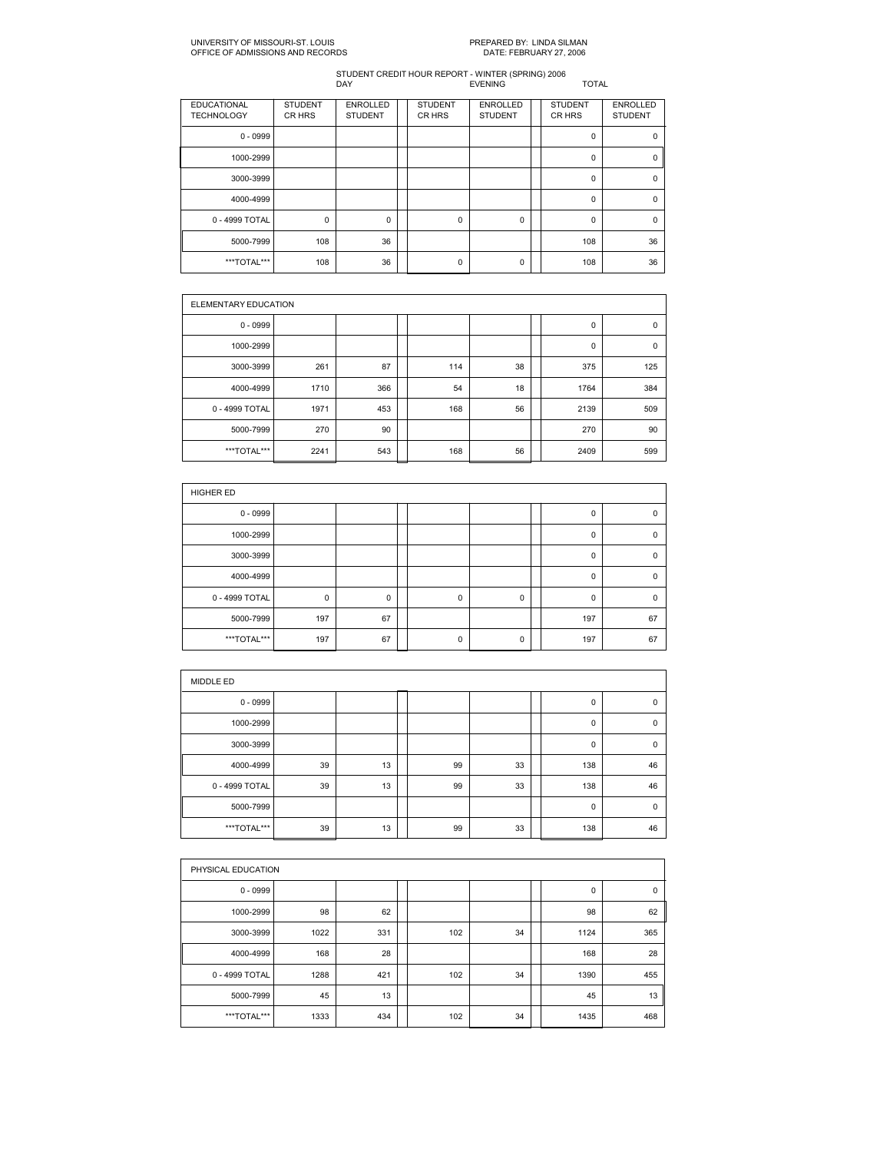#### UNIVERSITY OF MISSOURIST. LOUIS PREPARED BY: LINDA SILMAN OFFICE OF ADMISSIONS AND RECORDS DATE: FEBRUARY 27, 2006

| <b>EDUCATIONAL</b><br><b>TECHNOLOGY</b> | <b>STUDENT</b><br>CR HRS | <b>ENROLLED</b><br><b>STUDENT</b> | <b>STUDENT</b><br>CR HRS | <b>ENROLLED</b><br><b>STUDENT</b> | <b>STUDENT</b><br>CR HRS | <b>ENROLLED</b><br><b>STUDENT</b> |
|-----------------------------------------|--------------------------|-----------------------------------|--------------------------|-----------------------------------|--------------------------|-----------------------------------|
| $0 - 0999$                              |                          |                                   |                          |                                   | 0                        | 0                                 |
| 1000-2999                               |                          |                                   |                          |                                   | 0                        | 0                                 |
| 3000-3999                               |                          |                                   |                          |                                   | 0                        | $\Omega$                          |
| 4000-4999                               |                          |                                   |                          |                                   | 0                        | 0                                 |
| 0 - 4999 TOTAL                          | 0                        | $\Omega$                          | $\mathbf 0$              | 0                                 | 0                        | $\Omega$                          |
| 5000-7999                               | 108                      | 36                                |                          |                                   | 108                      | 36                                |
| ***TOTAL***                             | 108                      | 36                                | $\mathbf 0$              | 0                                 | 108                      | 36                                |

|                | ELEMENTARY EDUCATION |     |  |     |    |  |      |             |  |  |  |  |
|----------------|----------------------|-----|--|-----|----|--|------|-------------|--|--|--|--|
| $0 - 0999$     |                      |     |  |     |    |  | 0    | $\mathbf 0$ |  |  |  |  |
| 1000-2999      |                      |     |  |     |    |  | 0    | 0           |  |  |  |  |
| 3000-3999      | 261                  | 87  |  | 114 | 38 |  | 375  | 125         |  |  |  |  |
| 4000-4999      | 1710                 | 366 |  | 54  | 18 |  | 1764 | 384         |  |  |  |  |
| 0 - 4999 TOTAL | 1971                 | 453 |  | 168 | 56 |  | 2139 | 509         |  |  |  |  |
| 5000-7999      | 270                  | 90  |  |     |    |  | 270  | 90          |  |  |  |  |
| ***TOTAL***    | 2241                 | 543 |  | 168 | 56 |  | 2409 | 599         |  |  |  |  |

| HIGHER ED      |             |    |  |             |   |  |          |             |  |  |  |
|----------------|-------------|----|--|-------------|---|--|----------|-------------|--|--|--|
| $0 - 0999$     |             |    |  |             |   |  | 0        | $\mathbf 0$ |  |  |  |
| 1000-2999      |             |    |  |             |   |  | 0        | 0           |  |  |  |
| 3000-3999      |             |    |  |             |   |  | 0        | $\mathbf 0$ |  |  |  |
| 4000-4999      |             |    |  |             |   |  | $\Omega$ | $\Omega$    |  |  |  |
| 0 - 4999 TOTAL | $\mathbf 0$ | 0  |  | $\mathbf 0$ | 0 |  | 0        | $\mathbf 0$ |  |  |  |
| 5000-7999      | 197         | 67 |  |             |   |  | 197      | 67          |  |  |  |
| ***TOTAL***    | 197         | 67 |  | $\mathbf 0$ | 0 |  | 197      | 67          |  |  |  |

| MIDDLE ED      |    |    |  |    |    |  |     |             |  |  |  |
|----------------|----|----|--|----|----|--|-----|-------------|--|--|--|
| $0 - 0999$     |    |    |  |    |    |  | 0   | 0           |  |  |  |
| 1000-2999      |    |    |  |    |    |  | 0   | 0           |  |  |  |
| 3000-3999      |    |    |  |    |    |  | 0   | $\mathbf 0$ |  |  |  |
| 4000-4999      | 39 | 13 |  | 99 | 33 |  | 138 | 46          |  |  |  |
| 0 - 4999 TOTAL | 39 | 13 |  | 99 | 33 |  | 138 | 46          |  |  |  |
| 5000-7999      |    |    |  |    |    |  | 0   | $\mathbf 0$ |  |  |  |
| ***TOTAL***    | 39 | 13 |  | 99 | 33 |  | 138 | 46          |  |  |  |

|                | PHYSICAL EDUCATION |     |  |     |    |  |      |     |  |  |  |
|----------------|--------------------|-----|--|-----|----|--|------|-----|--|--|--|
| $0 - 0999$     |                    |     |  |     |    |  | 0    | 0   |  |  |  |
| 1000-2999      | 98                 | 62  |  |     |    |  | 98   | 62  |  |  |  |
| 3000-3999      | 1022               | 331 |  | 102 | 34 |  | 1124 | 365 |  |  |  |
| 4000-4999      | 168                | 28  |  |     |    |  | 168  | 28  |  |  |  |
| 0 - 4999 TOTAL | 1288               | 421 |  | 102 | 34 |  | 1390 | 455 |  |  |  |
| 5000-7999      | 45                 | 13  |  |     |    |  | 45   | 13  |  |  |  |
| ***TOTAL***    | 1333               | 434 |  | 102 | 34 |  | 1435 | 468 |  |  |  |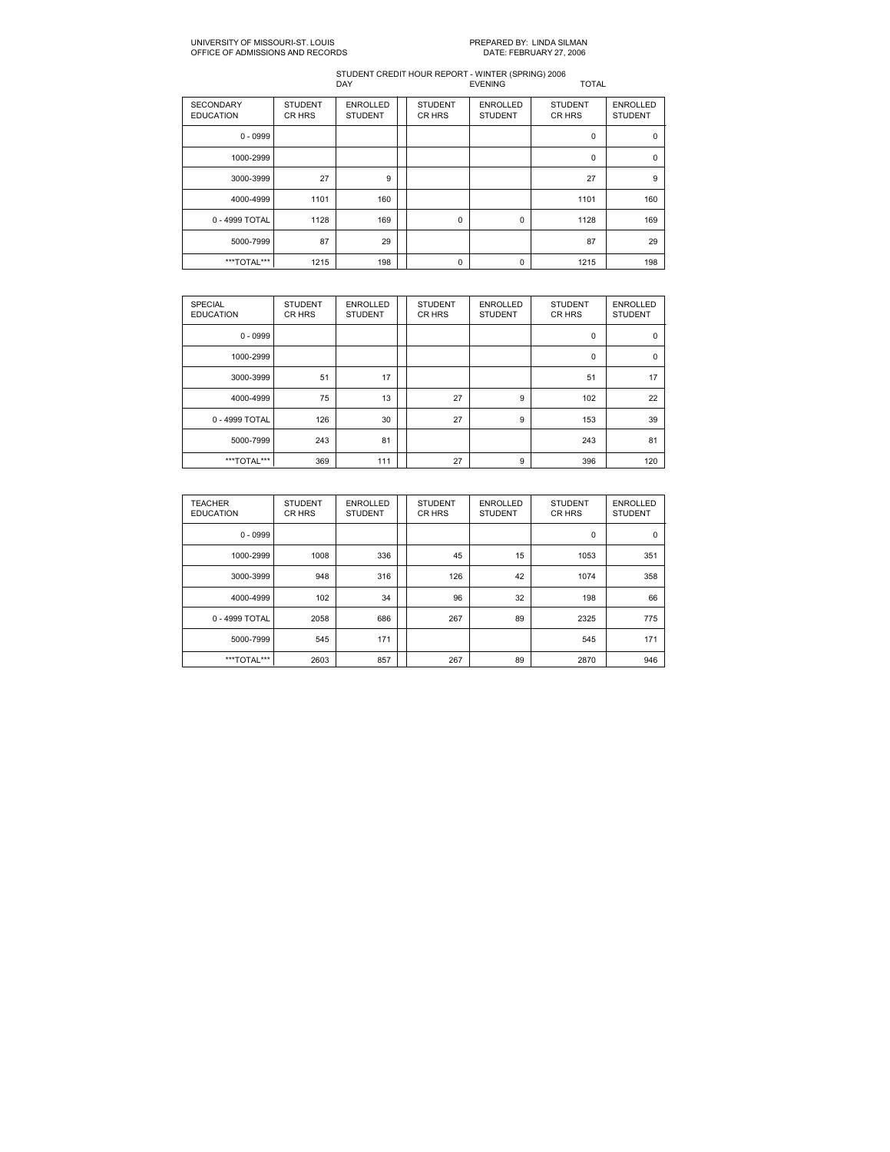#### UNIVERSITY OF MISSOURIST. LOUIS PREPARED BY: LINDA SILMAN OFFICE OF ADMISSIONS AND RECORDS DATE: FEBRUARY 27, 2006

| <b>SECONDARY</b><br><b>EDUCATION</b> | <b>STUDENT</b><br>CR HRS | <b>ENROLLED</b><br><b>STUDENT</b> | <b>STUDENT</b><br>CR HRS | <b>ENROLLED</b><br><b>STUDENT</b> | <b>STUDENT</b><br><b>CRHRS</b> | <b>ENROLLED</b><br><b>STUDENT</b> |
|--------------------------------------|--------------------------|-----------------------------------|--------------------------|-----------------------------------|--------------------------------|-----------------------------------|
| $0 - 0999$                           |                          |                                   |                          |                                   | 0                              | 0                                 |
| 1000-2999                            |                          |                                   |                          |                                   | 0                              | $\mathbf 0$                       |
| 3000-3999                            | 27                       | 9                                 |                          |                                   | 27                             | 9                                 |
| 4000-4999                            | 1101                     | 160                               |                          |                                   | 1101                           | 160                               |
| 0 - 4999 TOTAL                       | 1128                     | 169                               | $\mathbf 0$              | 0                                 | 1128                           | 169                               |
| 5000-7999                            | 87                       | 29                                |                          |                                   | 87                             | 29                                |
| ***TOTAL***                          | 1215                     | 198                               | $\mathbf 0$              | 0                                 | 1215                           | 198                               |

| <b>SPECIAL</b><br><b>EDUCATION</b> | <b>STUDENT</b><br>CR HRS | <b>ENROLLED</b><br><b>STUDENT</b> | <b>STUDENT</b><br>CR HRS | <b>ENROLLED</b><br><b>STUDENT</b> | <b>STUDENT</b><br><b>CRHRS</b> | <b>ENROLLED</b><br><b>STUDENT</b> |
|------------------------------------|--------------------------|-----------------------------------|--------------------------|-----------------------------------|--------------------------------|-----------------------------------|
| $0 - 0999$                         |                          |                                   |                          |                                   | 0                              | 0                                 |
| 1000-2999                          |                          |                                   |                          |                                   | 0                              | $\mathbf 0$                       |
| 3000-3999                          | 51                       | 17                                |                          |                                   | 51                             | 17                                |
| 4000-4999                          | 75                       | 13                                | 27                       | 9                                 | 102                            | 22                                |
| 0 - 4999 TOTAL                     | 126                      | 30                                | 27                       | 9                                 | 153                            | 39                                |
| 5000-7999                          | 243                      | 81                                |                          |                                   | 243                            | 81                                |
| ***TOTAL***                        | 369                      | 111                               | 27                       | 9                                 | 396                            | 120                               |

| <b>TEACHER</b><br><b>EDUCATION</b> | <b>STUDENT</b><br>CR HRS | <b>ENROLLED</b><br><b>STUDENT</b> | <b>STUDENT</b><br>CR HRS | <b>ENROLLED</b><br><b>STUDENT</b> | <b>STUDENT</b><br>CR HRS | <b>ENROLLED</b><br><b>STUDENT</b> |
|------------------------------------|--------------------------|-----------------------------------|--------------------------|-----------------------------------|--------------------------|-----------------------------------|
| $0 - 0999$                         |                          |                                   |                          |                                   | $\mathbf 0$              | 0                                 |
| 1000-2999                          | 1008                     | 336                               | 45                       | 15                                | 1053                     | 351                               |
| 3000-3999                          | 948                      | 316                               | 126                      | 42                                | 1074                     | 358                               |
| 4000-4999                          | 102                      | 34                                | 96                       | 32                                | 198                      | 66                                |
| 0 - 4999 TOTAL                     | 2058                     | 686                               | 267                      | 89                                | 2325                     | 775                               |
| 5000-7999                          | 545                      | 171                               |                          |                                   | 545                      | 171                               |
| ***TOTAL***                        | 2603                     | 857                               | 267                      | 89                                | 2870                     | 946                               |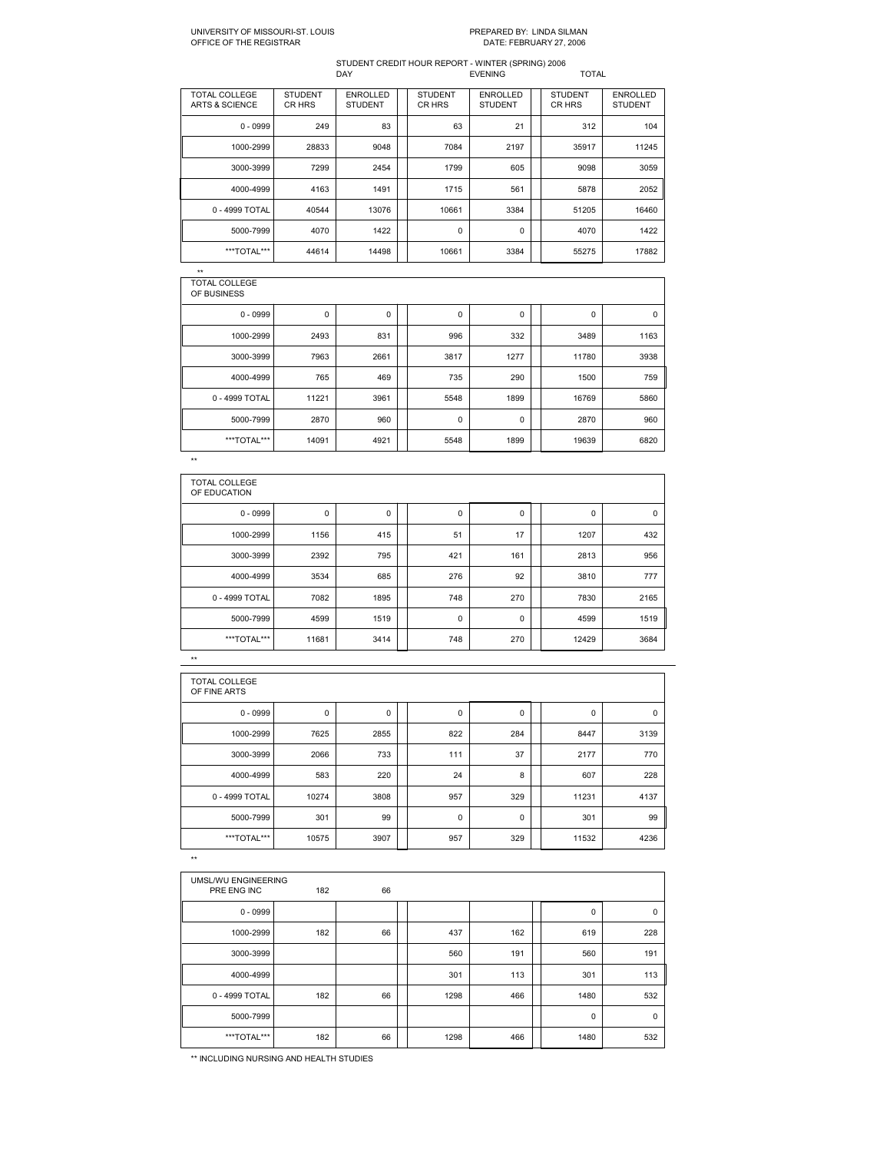# UNIVERSITY OF MISSOURI-ST. LOUIS<br>OFFICE OF THE REGISTRAR

# PREPARED BY: LINDA SILMAN<br>DATE: FEBRUARY 27, 2006

#### STUDENT CREDIT HOUR REPORT WINTER (SPRING) 2006 DAY EVENING TOTAL

| TOTAL COLLEGE<br>ARTS & SCIENCE | <b>STUDENT</b><br>CR HRS | <b>ENROLLED</b><br><b>STUDENT</b> | <b>STUDENT</b><br>CR HRS | <b>ENROLLED</b><br><b>STUDENT</b> | <b>STUDENT</b><br>CR HRS | <b>ENROLLED</b><br><b>STUDENT</b> |
|---------------------------------|--------------------------|-----------------------------------|--------------------------|-----------------------------------|--------------------------|-----------------------------------|
| $0 - 0999$                      | 249                      | 83                                | 63                       | 21                                | 312                      | 104                               |
| 1000-2999                       | 28833                    | 9048                              | 7084                     | 2197                              | 35917                    | 11245                             |
| 3000-3999                       | 7299                     | 2454                              | 1799                     | 605                               | 9098                     | 3059                              |
| 4000-4999                       | 4163                     | 1491                              | 1715                     | 561                               | 5878                     | 2052                              |
| 0 - 4999 TOTAL                  | 40544                    | 13076                             | 10661                    | 3384                              | 51205                    | 16460                             |
| 5000-7999                       | 4070                     | 1422                              | 0                        | 0                                 | 4070                     | 1422                              |
| ***TOTAL***                     | 44614                    | 14498                             | 10661                    | 3384                              | 55275                    | 17882                             |

 $\star$   $\star$ 

| TOTAL COLLEGE<br>OF BUSINESS |       |             |      |             |       |      |
|------------------------------|-------|-------------|------|-------------|-------|------|
| $0 - 0999$                   | 0     | $\mathbf 0$ | 0    | $\mathbf 0$ | 0     | 0    |
| 1000-2999                    | 2493  | 831         | 996  | 332         | 3489  | 1163 |
| 3000-3999                    | 7963  | 2661        | 3817 | 1277        | 11780 | 3938 |
| 4000-4999                    | 765   | 469         | 735  | 290         | 1500  | 759  |
| 0 - 4999 TOTAL               | 11221 | 3961        | 5548 | 1899        | 16769 | 5860 |
| 5000-7999                    | 2870  | 960         | 0    | 0           | 2870  | 960  |
| ***TOTAL***                  | 14091 | 4921        | 5548 | 1899        | 19639 | 6820 |
| $\star\star$                 |       |             |      |             |       |      |

TOTAL COLLEGE<br>OF EDUCATION 0 0999 0 0 0 0 0 0 1000-2999 1156 415 31 51 17 1 1207 432 3000-3999 | 2392 | 795 | 421 | 161 | 2813 | 956 | 4000-4999 | 3534 | 685 || 276 | 92 || 3810 | 777 | 0 - 4999 TOTAL 7082 1895 | 748 | 270 | 7830 | 2165 5000-7999 | 4599 | 1519 || 0 | 0 || 4599 | 1519 || \*\*\*TOTAL\*\*\* | 11681 | 3414 | | 748 | 270 | | 12429 | 3684 |

| <b>TOTAL COLLEGE</b><br>OF FINE ARTS |       |      |             |     |       |      |
|--------------------------------------|-------|------|-------------|-----|-------|------|
| $0 - 0999$                           | 0     | 0    | 0           | 0   | 0     | 0    |
| 1000-2999                            | 7625  | 2855 | 822         | 284 | 8447  | 3139 |
| 3000-3999                            | 2066  | 733  | 111         | 37  | 2177  | 770  |
| 4000-4999                            | 583   | 220  | 24          | 8   | 607   | 228  |
| 0 - 4999 TOTAL                       | 10274 | 3808 | 957         | 329 | 11231 | 4137 |
| 5000-7999                            | 301   | 99   | $\mathbf 0$ | 0   | 301   | 99   |
| ***TOTAL***                          | 10575 | 3907 | 957         | 329 | 11532 | 4236 |

\*\*

\*\*

| UMSL/WU ENGINEERING<br>PRE ENG INC | 182 | 66 |      |     |      |             |
|------------------------------------|-----|----|------|-----|------|-------------|
| $0 - 0999$                         |     |    |      |     | 0    | $\mathbf 0$ |
| 1000-2999                          | 182 | 66 | 437  | 162 | 619  | 228         |
| 3000-3999                          |     |    | 560  | 191 | 560  | 191         |
| 4000-4999                          |     |    | 301  | 113 | 301  | 113         |
| 0 - 4999 TOTAL                     | 182 | 66 | 1298 | 466 | 1480 | 532         |
| 5000-7999                          |     |    |      |     | 0    | $\mathbf 0$ |
| ***TOTAL***                        | 182 | 66 | 1298 | 466 | 1480 | 532         |

\*\* INCLUDING NURSING AND HEALTH STUDIES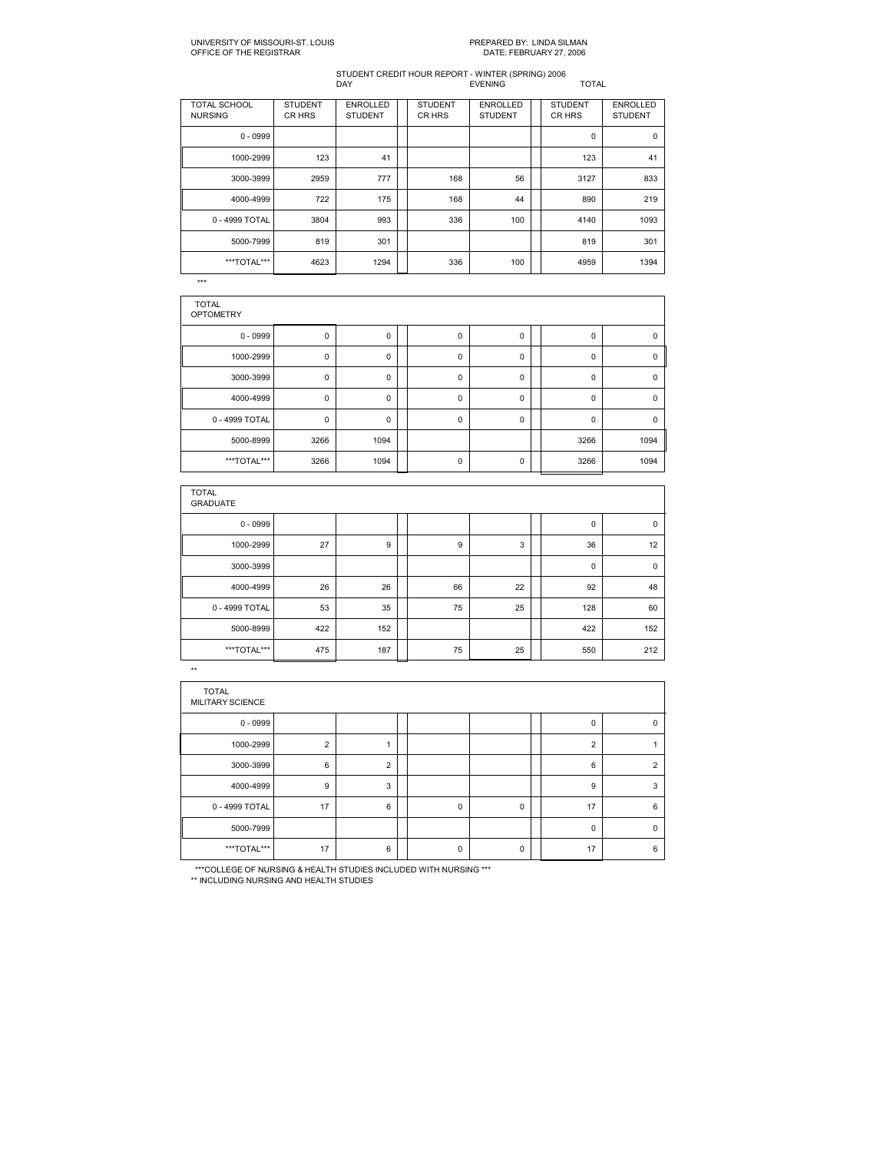#### STUDENT CREDIT HOUR REPORT WINTER (SPRING) 2006 DAY EVENING TOTAL

| <b>TOTAL SCHOOL</b><br><b>NURSING</b> | <b>STUDENT</b><br>CR HRS | <b>ENROLLED</b><br><b>STUDENT</b> | <b>STUDENT</b><br>CR HRS | <b>ENROLLED</b><br><b>STUDENT</b> | <b>STUDENT</b><br>CR HRS | <b>ENROLLED</b><br><b>STUDENT</b> |
|---------------------------------------|--------------------------|-----------------------------------|--------------------------|-----------------------------------|--------------------------|-----------------------------------|
| $0 - 0999$                            |                          |                                   |                          |                                   | 0                        | 0                                 |
| 1000-2999                             | 123                      | 41                                |                          |                                   | 123                      | 41                                |
| 3000-3999                             | 2959                     | 777                               | 168                      | 56                                | 3127                     | 833                               |
| 4000-4999                             | 722                      | 175                               | 168                      | 44                                | 890                      | 219                               |
| 0 - 4999 TOTAL                        | 3804                     | 993                               | 336                      | 100                               | 4140                     | 1093                              |
| 5000-7999                             | 819                      | 301                               |                          |                                   | 819                      | 301                               |
| ***TOTAL***                           | 4623                     | 1294                              | 336                      | 100                               | 4959                     | 1394                              |

 $\overline{***}$ 

| <b>TOTAL</b><br><b>OPTOMETRY</b> |      |      |             |             |          |          |
|----------------------------------|------|------|-------------|-------------|----------|----------|
| $0 - 0999$                       | 0    | 0    | 0           | 0           | 0        | 0        |
| 1000-2999                        | 0    | 0    | $\mathbf 0$ | $\mathbf 0$ | 0        | 0        |
| 3000-3999                        | 0    | 0    | $\mathbf 0$ | $\mathbf 0$ | $\Omega$ | $\Omega$ |
| 4000-4999                        | 0    | 0    | $\mathbf 0$ | 0           | 0        | 0        |
| 0 - 4999 TOTAL                   | 0    | 0    | $\mathbf 0$ | $\mathbf 0$ | $\Omega$ | $\Omega$ |
| 5000-8999                        | 3266 | 1094 |             |             | 3266     | 1094     |
| ***TOTAL***                      | 3266 | 1094 | 0           | 0           | 3266     | 1094     |

| <b>TOTAL</b><br><b>GRADUATE</b> |     |     |    |    |     |             |
|---------------------------------|-----|-----|----|----|-----|-------------|
| $0 - 0999$                      |     |     |    |    | 0   | $\mathbf 0$ |
| 1000-2999                       | 27  | 9   | 9  | 3  | 36  | 12          |
| 3000-3999                       |     |     |    |    | 0   | $\mathbf 0$ |
| 4000-4999                       | 26  | 26  | 66 | 22 | 92  | 48          |
| 0 - 4999 TOTAL                  | 53  | 35  | 75 | 25 | 128 | 60          |
| 5000-8999                       | 422 | 152 |    |    | 422 | 152         |
| ***TOTAL***                     | 475 | 187 | 75 | 25 | 550 | 212         |

\*\*

| <b>TOTAL</b><br>MILITARY SCIENCE |                |                |             |             |                |                |
|----------------------------------|----------------|----------------|-------------|-------------|----------------|----------------|
| $0 - 0999$                       |                |                |             |             | 0              | 0              |
| 1000-2999                        | $\overline{2}$ |                |             |             | $\overline{2}$ |                |
| 3000-3999                        | 6              | $\overline{2}$ |             |             | 6              | $\overline{2}$ |
| 4000-4999                        | 9              | 3              |             |             | 9              | 3              |
| 0 - 4999 TOTAL                   | 17             | 6              | $\mathbf 0$ | $\mathbf 0$ | 17             | 6              |
| 5000-7999                        |                |                |             |             | $\Omega$       | $\mathbf 0$    |
| ***TOTAL***                      | 17             | 6              | $\Omega$    | $\mathbf 0$ | 17             | 6              |

\*\*\*COLLEGE OF NURSING & HEALTH STUDIES INCLUDED WITH NURSING \*\*\* \*\* INCLUDING NURSING AND HEALTH STUDIES